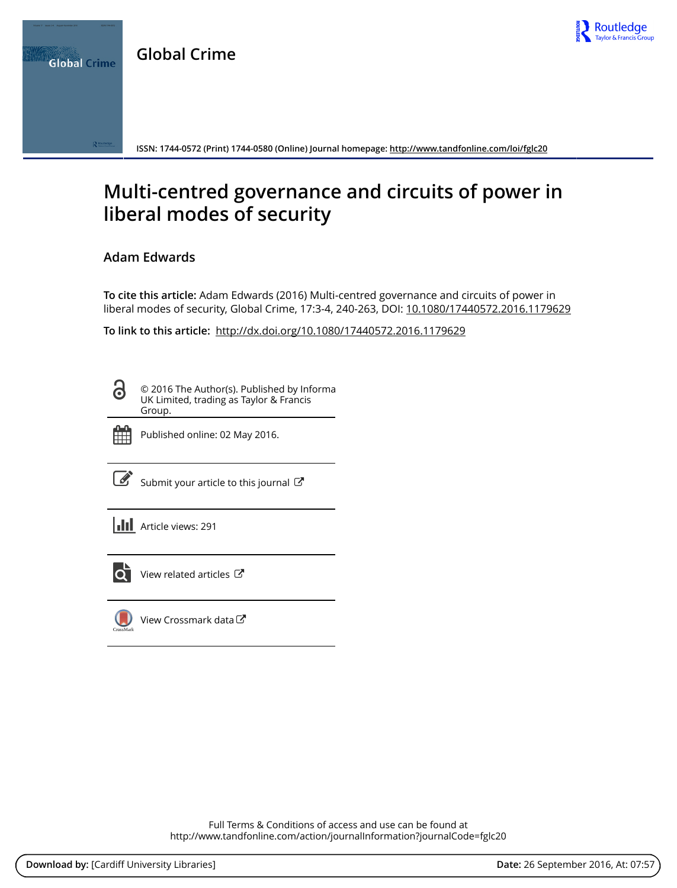**Global Crime**

**Global Crime** 

R<sup>es</sup>



**ISSN: 1744-0572 (Print) 1744-0580 (Online) Journal homepage:<http://www.tandfonline.com/loi/fglc20>**

# **Multi-centred governance and circuits of power in liberal modes of security**

# **Adam Edwards**

**To cite this article:** Adam Edwards (2016) Multi-centred governance and circuits of power in liberal modes of security, Global Crime, 17:3-4, 240-263, DOI: [10.1080/17440572.2016.1179629](http://www.tandfonline.com/action/showCitFormats?doi=10.1080/17440572.2016.1179629)

**To link to this article:** <http://dx.doi.org/10.1080/17440572.2016.1179629>

© 2016 The Author(s). Published by Informa UK Limited, trading as Taylor & Francis Group.



 $\partial$ 

Published online: 02 May 2016.

[Submit your article to this journal](http://www.tandfonline.com/action/authorSubmission?journalCode=fglc20&show=instructions)  $\mathbb{Z}$ 

**III** Article views: 291



[View related articles](http://www.tandfonline.com/doi/mlt/10.1080/17440572.2016.1179629) C



[View Crossmark data](http://crossmark.crossref.org/dialog/?doi=10.1080/17440572.2016.1179629&domain=pdf&date_stamp=2016-05-02)

Full Terms & Conditions of access and use can be found at <http://www.tandfonline.com/action/journalInformation?journalCode=fglc20>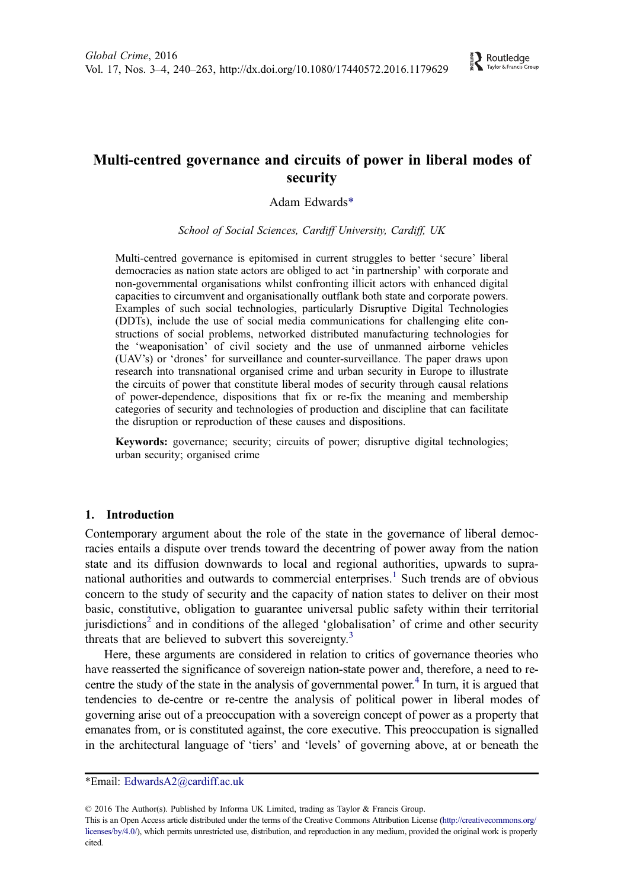# Multi-centred governance and circuits of power in liberal modes of security

Adam Edwards\*

School of Social Sciences, Cardiff University, Cardiff, UK

Multi-centred governance is epitomised in current struggles to better 'secure' liberal democracies as nation state actors are obliged to act 'in partnership' with corporate and non-governmental organisations whilst confronting illicit actors with enhanced digital capacities to circumvent and organisationally outflank both state and corporate powers. Examples of such social technologies, particularly Disruptive Digital Technologies (DDTs), include the use of social media communications for challenging elite constructions of social problems, networked distributed manufacturing technologies for the 'weaponisation' of civil society and the use of unmanned airborne vehicles (UAV's) or 'drones' for surveillance and counter-surveillance. The paper draws upon research into transnational organised crime and urban security in Europe to illustrate the circuits of power that constitute liberal modes of security through causal relations of power-dependence, dispositions that fix or re-fix the meaning and membership categories of security and technologies of production and discipline that can facilitate the disruption or reproduction of these causes and dispositions.

Keywords: governance; security; circuits of power; disruptive digital technologies; urban security; organised crime

# 1. Introduction

Contemporary argument about the role of the state in the governance of liberal democracies entails a dispute over trends toward the decentring of power away from the nation state and its diffusion downwards to local and regional authorities, upwards to supra-national authorities and outwards to commercial enterprises.<sup>[1](#page-18-0)</sup> Such trends are of obvious concern to the study of security and the capacity of nation states to deliver on their most basic, constitutive, obligation to guarantee universal public safety within their territorial jurisdictions<sup>[2](#page-18-0)</sup> and in conditions of the alleged 'globalisation' of crime and other security threats that are believed to subvert this sovereignty.<sup>[3](#page-18-0)</sup>

Here, these arguments are considered in relation to critics of governance theories who have reasserted the significance of sovereign nation-state power and, therefore, a need to recentre the study of the state in the analysis of governmental power.<sup>4</sup> In turn, it is argued that tendencies to de-centre or re-centre the analysis of political power in liberal modes of governing arise out of a preoccupation with a sovereign concept of power as a property that emanates from, or is constituted against, the core executive. This preoccupation is signalled in the architectural language of 'tiers' and 'levels' of governing above, at or beneath the

\*Email: EdwardsA2@cardiff.ac.uk

© 2016 The Author(s). Published by Informa UK Limited, trading as Taylor & Francis Group.

This is an Open Access article distributed under the terms of the Creative Commons Attribution License (http://creativecommons.org/ licenses/by/4.0/), which permits unrestricted use, distribution, and reproduction in any medium, provided the original work is properly cited.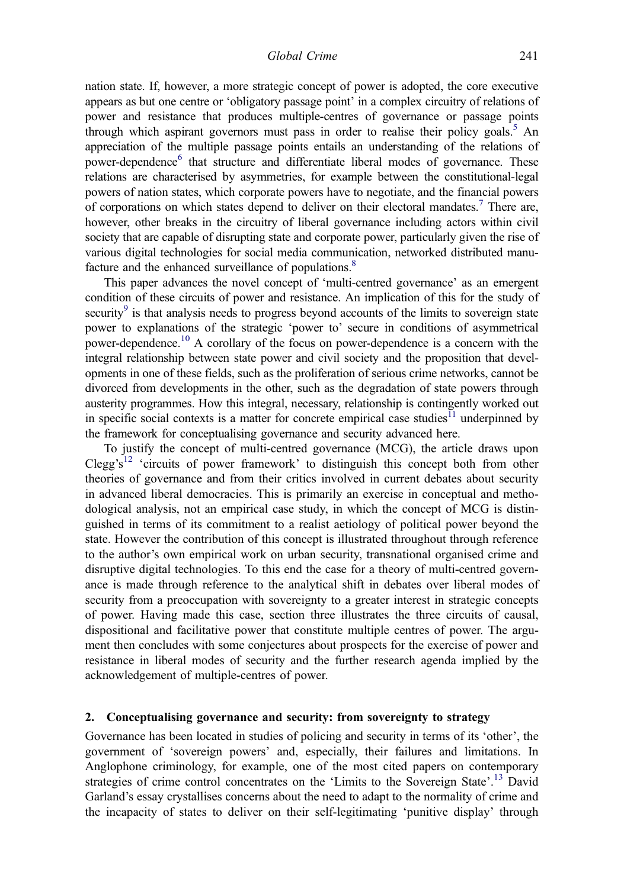nation state. If, however, a more strategic concept of power is adopted, the core executive appears as but one centre or 'obligatory passage point' in a complex circuitry of relations of power and resistance that produces multiple-centres of governance or passage points through which aspirant governors must pass in order to realise their policy goals.<sup>[5](#page-18-0)</sup> An appreciation of the multiple passage points entails an understanding of the relations of  $p<sub>power</sub> dependence<sup>6</sup> that structure and differentiate liberal modes of governance. These$ relations are characterised by asymmetries, for example between the constitutional-legal powers of nation states, which corporate powers have to negotiate, and the financial powers of corporations on which states depend to deliver on their electoral mandates.<sup>[7](#page-18-0)</sup> There are, however, other breaks in the circuitry of liberal governance including actors within civil society that are capable of disrupting state and corporate power, particularly given the rise of various digital technologies for social media communication, networked distributed manufacture and the enhanced surveillance of populations.<sup>8</sup>

This paper advances the novel concept of 'multi-centred governance' as an emergent condition of these circuits of power and resistance. An implication of this for the study of security $9$  is that analysis needs to progress beyond accounts of the limits to sovereign state power to explanations of the strategic 'power to' secure in conditions of asymmetrical power-dependence.[10](#page-18-0) A corollary of the focus on power-dependence is a concern with the integral relationship between state power and civil society and the proposition that developments in one of these fields, such as the proliferation of serious crime networks, cannot be divorced from developments in the other, such as the degradation of state powers through austerity programmes. How this integral, necessary, relationship is contingently worked out in specific social contexts is a matter for concrete empirical case studies<sup>[11](#page-18-0)</sup> underpinned by the framework for conceptualising governance and security advanced here.

To justify the concept of multi-centred governance (MCG), the article draws upon Clegg's<sup>[12](#page-18-0)</sup> 'circuits of power framework' to distinguish this concept both from other theories of governance and from their critics involved in current debates about security in advanced liberal democracies. This is primarily an exercise in conceptual and methodological analysis, not an empirical case study, in which the concept of MCG is distinguished in terms of its commitment to a realist aetiology of political power beyond the state. However the contribution of this concept is illustrated throughout through reference to the author's own empirical work on urban security, transnational organised crime and disruptive digital technologies. To this end the case for a theory of multi-centred governance is made through reference to the analytical shift in debates over liberal modes of security from a preoccupation with sovereignty to a greater interest in strategic concepts of power. Having made this case, section three illustrates the three circuits of causal, dispositional and facilitative power that constitute multiple centres of power. The argument then concludes with some conjectures about prospects for the exercise of power and resistance in liberal modes of security and the further research agenda implied by the acknowledgement of multiple-centres of power.

# 2. Conceptualising governance and security: from sovereignty to strategy

Governance has been located in studies of policing and security in terms of its 'other', the government of 'sovereign powers' and, especially, their failures and limitations. In Anglophone criminology, for example, one of the most cited papers on contemporary strategies of crime control concentrates on the 'Limits to the Sovereign State'.<sup>[13](#page-18-0)</sup> David Garland's essay crystallises concerns about the need to adapt to the normality of crime and the incapacity of states to deliver on their self-legitimating 'punitive display' through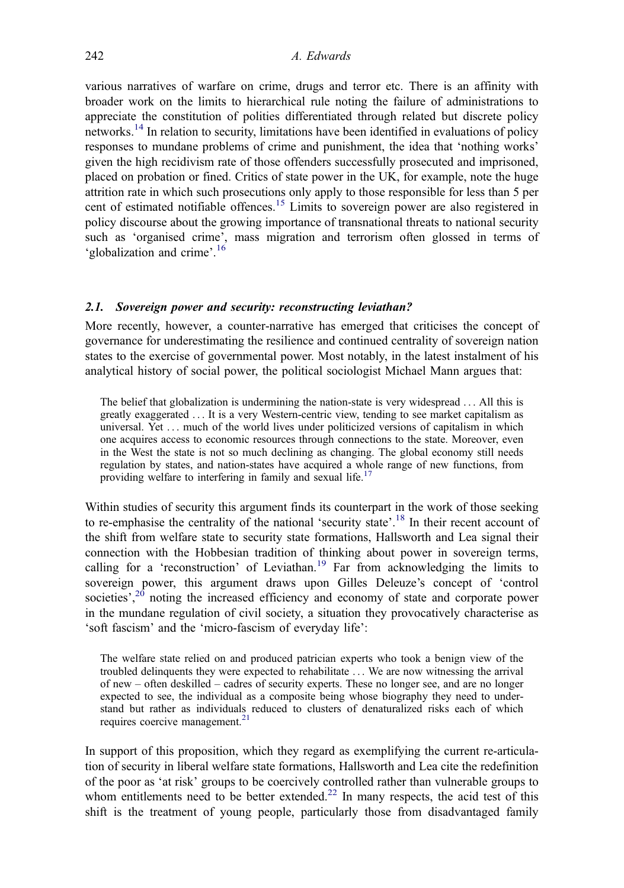various narratives of warfare on crime, drugs and terror etc. There is an affinity with broader work on the limits to hierarchical rule noting the failure of administrations to appreciate the constitution of polities differentiated through related but discrete policy networks.[14](#page-18-0) In relation to security, limitations have been identified in evaluations of policy responses to mundane problems of crime and punishment, the idea that 'nothing works' given the high recidivism rate of those offenders successfully prosecuted and imprisoned, placed on probation or fined. Critics of state power in the UK, for example, note the huge attrition rate in which such prosecutions only apply to those responsible for less than 5 per cent of estimated notifiable offences.<sup>[15](#page-18-0)</sup> Limits to sovereign power are also registered in policy discourse about the growing importance of transnational threats to national security such as 'organised crime', mass migration and terrorism often glossed in terms of 'globalization and crime'. [16](#page-18-0)

# 2.1. Sovereign power and security: reconstructing leviathan?

More recently, however, a counter-narrative has emerged that criticises the concept of governance for underestimating the resilience and continued centrality of sovereign nation states to the exercise of governmental power. Most notably, in the latest instalment of his analytical history of social power, the political sociologist Michael Mann argues that:

The belief that globalization is undermining the nation-state is very widespread . . . All this is greatly exaggerated . . . It is a very Western-centric view, tending to see market capitalism as universal. Yet ... much of the world lives under politicized versions of capitalism in which one acquires access to economic resources through connections to the state. Moreover, even in the West the state is not so much declining as changing. The global economy still needs regulation by states, and nation-states have acquired a whole range of new functions, from providing welfare to interfering in family and sexual life.<sup>[17](#page-18-0)</sup>

Within studies of security this argument finds its counterpart in the work of those seeking to re-emphasise the centrality of the national 'security state'.<sup>[18](#page-18-0)</sup> In their recent account of the shift from welfare state to security state formations, Hallsworth and Lea signal their connection with the Hobbesian tradition of thinking about power in sovereign terms, calling for a 'reconstruction' of Leviathan.<sup>[19](#page-18-0)</sup> Far from acknowledging the limits to sovereign power, this argument draws upon Gilles Deleuze's concept of 'control societies', $20$  noting the increased efficiency and economy of state and corporate power in the mundane regulation of civil society, a situation they provocatively characterise as 'soft fascism' and the 'micro-fascism of everyday life':

The welfare state relied on and produced patrician experts who took a benign view of the troubled delinquents they were expected to rehabilitate . . . We are now witnessing the arrival of new – often deskilled – cadres of security experts. These no longer see, and are no longer expected to see, the individual as a composite being whose biography they need to understand but rather as individuals reduced to clusters of denaturalized risks each of which requires coercive management.<sup>[21](#page-18-0)</sup>

In support of this proposition, which they regard as exemplifying the current re-articulation of security in liberal welfare state formations, Hallsworth and Lea cite the redefinition of the poor as 'at risk' groups to be coercively controlled rather than vulnerable groups to whom entitlements need to be better extended.<sup>[22](#page-18-0)</sup> In many respects, the acid test of this shift is the treatment of young people, particularly those from disadvantaged family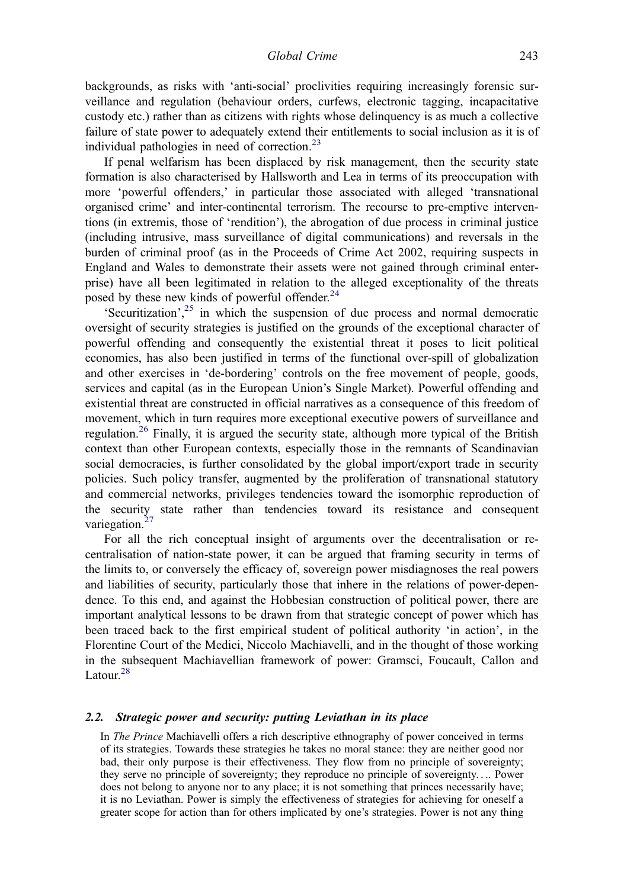backgrounds, as risks with 'anti-social' proclivities requiring increasingly forensic surveillance and regulation (behaviour orders, curfews, electronic tagging, incapacitative custody etc.) rather than as citizens with rights whose delinquency is as much a collective failure of state power to adequately extend their entitlements to social inclusion as it is of individual pathologies in need of correction.<sup>[23](#page-18-0)</sup>

If penal welfarism has been displaced by risk management, then the security state formation is also characterised by Hallsworth and Lea in terms of its preoccupation with more 'powerful offenders,' in particular those associated with alleged 'transnational organised crime' and inter-continental terrorism. The recourse to pre-emptive interventions (in extremis, those of 'rendition'), the abrogation of due process in criminal justice (including intrusive, mass surveillance of digital communications) and reversals in the burden of criminal proof (as in the Proceeds of Crime Act 2002, requiring suspects in England and Wales to demonstrate their assets were not gained through criminal enterprise) have all been legitimated in relation to the alleged exceptionality of the threats posed by these new kinds of powerful offender.<sup>[24](#page-18-0)</sup>

'Securitization',<sup>[25](#page-18-0)</sup> in which the suspension of due process and normal democratic oversight of security strategies is justified on the grounds of the exceptional character of powerful offending and consequently the existential threat it poses to licit political economies, has also been justified in terms of the functional over-spill of globalization and other exercises in 'de-bordering' controls on the free movement of people, goods, services and capital (as in the European Union's Single Market). Powerful offending and existential threat are constructed in official narratives as a consequence of this freedom of movement, which in turn requires more exceptional executive powers of surveillance and regulation.[26](#page-18-0) Finally, it is argued the security state, although more typical of the British context than other European contexts, especially those in the remnants of Scandinavian social democracies, is further consolidated by the global import/export trade in security policies. Such policy transfer, augmented by the proliferation of transnational statutory and commercial networks, privileges tendencies toward the isomorphic reproduction of the security state rather than tendencies toward its resistance and consequent variegation.<sup>[27](#page-18-0)</sup>

For all the rich conceptual insight of arguments over the decentralisation or recentralisation of nation-state power, it can be argued that framing security in terms of the limits to, or conversely the efficacy of, sovereign power misdiagnoses the real powers and liabilities of security, particularly those that inhere in the relations of power-dependence. To this end, and against the Hobbesian construction of political power, there are important analytical lessons to be drawn from that strategic concept of power which has been traced back to the first empirical student of political authority 'in action', in the Florentine Court of the Medici, Niccolo Machiavelli, and in the thought of those working in the subsequent Machiavellian framework of power: Gramsci, Foucault, Callon and Latour.<sup>[28](#page-18-0)</sup>

# 2.2. Strategic power and security: putting Leviathan in its place

In The Prince Machiavelli offers a rich descriptive ethnography of power conceived in terms of its strategies. Towards these strategies he takes no moral stance: they are neither good nor bad, their only purpose is their effectiveness. They flow from no principle of sovereignty; they serve no principle of sovereignty; they reproduce no principle of sovereignty. . .. Power does not belong to anyone nor to any place; it is not something that princes necessarily have; it is no Leviathan. Power is simply the effectiveness of strategies for achieving for oneself a greater scope for action than for others implicated by one's strategies. Power is not any thing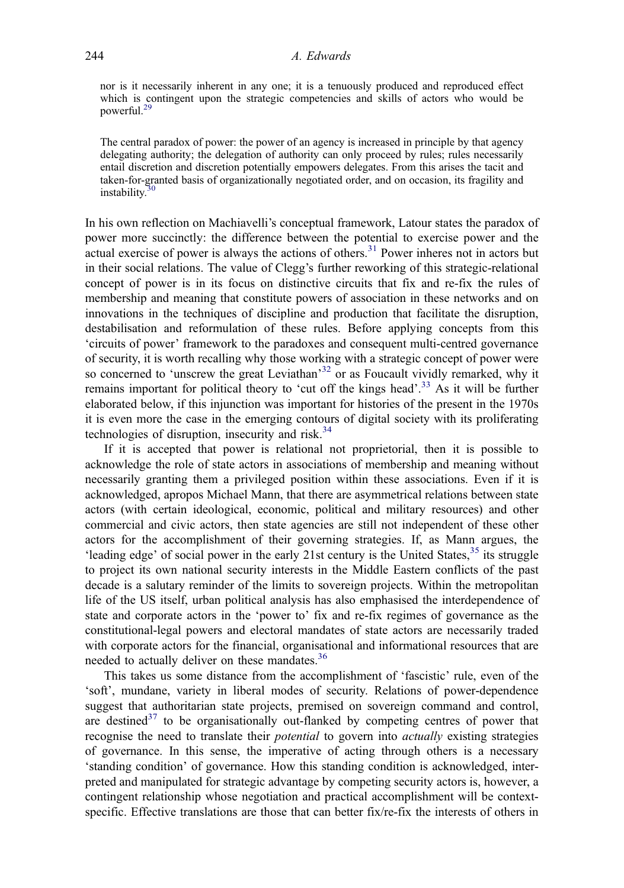nor is it necessarily inherent in any one; it is a tenuously produced and reproduced effect which is contingent upon the strategic competencies and skills of actors who would be powerful.[29](#page-18-0)

The central paradox of power: the power of an agency is increased in principle by that agency delegating authority; the delegation of authority can only proceed by rules; rules necessarily entail discretion and discretion potentially empowers delegates. From this arises the tacit and taken-for-granted basis of organizationally negotiated order, and on occasion, its fragility and instability.<sup>[30](#page-19-0)</sup>

In his own reflection on Machiavelli's conceptual framework, Latour states the paradox of power more succinctly: the difference between the potential to exercise power and the actual exercise of power is always the actions of others.<sup>[31](#page-19-0)</sup> Power inheres not in actors but in their social relations. The value of Clegg's further reworking of this strategic-relational concept of power is in its focus on distinctive circuits that fix and re-fix the rules of membership and meaning that constitute powers of association in these networks and on innovations in the techniques of discipline and production that facilitate the disruption, destabilisation and reformulation of these rules. Before applying concepts from this 'circuits of power' framework to the paradoxes and consequent multi-centred governance of security, it is worth recalling why those working with a strategic concept of power were so concerned to 'unscrew the great Leviathan'<sup>[32](#page-19-0)</sup> or as Foucault vividly remarked, why it remains important for political theory to 'cut off the kings head'.<sup>[33](#page-19-0)</sup> As it will be further elaborated below, if this injunction was important for histories of the present in the 1970s it is even more the case in the emerging contours of digital society with its proliferating technologies of disruption, insecurity and risk. $34$ 

If it is accepted that power is relational not proprietorial, then it is possible to acknowledge the role of state actors in associations of membership and meaning without necessarily granting them a privileged position within these associations. Even if it is acknowledged, apropos Michael Mann, that there are asymmetrical relations between state actors (with certain ideological, economic, political and military resources) and other commercial and civic actors, then state agencies are still not independent of these other actors for the accomplishment of their governing strategies. If, as Mann argues, the 'leading edge' of social power in the early 21st century is the United States,<sup>[35](#page-19-0)</sup> its struggle to project its own national security interests in the Middle Eastern conflicts of the past decade is a salutary reminder of the limits to sovereign projects. Within the metropolitan life of the US itself, urban political analysis has also emphasised the interdependence of state and corporate actors in the 'power to' fix and re-fix regimes of governance as the constitutional-legal powers and electoral mandates of state actors are necessarily traded with corporate actors for the financial, organisational and informational resources that are needed to actually deliver on these mandates.<sup>[36](#page-19-0)</sup>

This takes us some distance from the accomplishment of 'fascistic' rule, even of the 'soft', mundane, variety in liberal modes of security. Relations of power-dependence suggest that authoritarian state projects, premised on sovereign command and control, are destined<sup>[37](#page-19-0)</sup> to be organisationally out-flanked by competing centres of power that recognise the need to translate their *potential* to govern into *actually* existing strategies of governance. In this sense, the imperative of acting through others is a necessary 'standing condition' of governance. How this standing condition is acknowledged, interpreted and manipulated for strategic advantage by competing security actors is, however, a contingent relationship whose negotiation and practical accomplishment will be contextspecific. Effective translations are those that can better fix/re-fix the interests of others in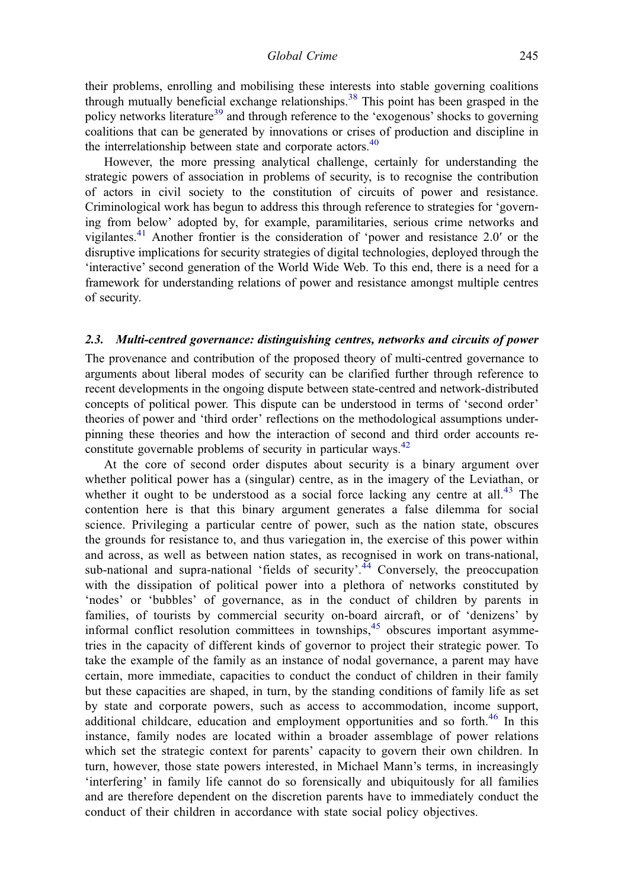their problems, enrolling and mobilising these interests into stable governing coalitions through mutually beneficial exchange relationships.<sup>[38](#page-19-0)</sup> This point has been grasped in the policy networks literature[39](#page-19-0) and through reference to the 'exogenous' shocks to governing coalitions that can be generated by innovations or crises of production and discipline in the interrelationship between state and corporate actors.<sup>[40](#page-19-0)</sup>

However, the more pressing analytical challenge, certainly for understanding the strategic powers of association in problems of security, is to recognise the contribution of actors in civil society to the constitution of circuits of power and resistance. Criminological work has begun to address this through reference to strategies for 'governing from below' adopted by, for example, paramilitaries, serious crime networks and vigilantes.[41](#page-19-0) Another frontier is the consideration of 'power and resistance 2.0ʹ or the disruptive implications for security strategies of digital technologies, deployed through the 'interactive' second generation of the World Wide Web. To this end, there is a need for a framework for understanding relations of power and resistance amongst multiple centres of security.

#### 2.3. Multi-centred governance: distinguishing centres, networks and circuits of power

The provenance and contribution of the proposed theory of multi-centred governance to arguments about liberal modes of security can be clarified further through reference to recent developments in the ongoing dispute between state-centred and network-distributed concepts of political power. This dispute can be understood in terms of 'second order' theories of power and 'third order' reflections on the methodological assumptions underpinning these theories and how the interaction of second and third order accounts re-constitute governable problems of security in particular ways.<sup>[42](#page-19-0)</sup>

At the core of second order disputes about security is a binary argument over whether political power has a (singular) centre, as in the imagery of the Leviathan, or whether it ought to be understood as a social force lacking any centre at all.<sup>[43](#page-19-0)</sup> The contention here is that this binary argument generates a false dilemma for social science. Privileging a particular centre of power, such as the nation state, obscures the grounds for resistance to, and thus variegation in, the exercise of this power within and across, as well as between nation states, as recognised in work on trans-national, sub-national and supra-national 'fields of security'.<sup>[44](#page-19-0)</sup> Conversely, the preoccupation with the dissipation of political power into a plethora of networks constituted by 'nodes' or 'bubbles' of governance, as in the conduct of children by parents in families, of tourists by commercial security on-board aircraft, or of 'denizens' by informal conflict resolution committees in townships,<sup>[45](#page-19-0)</sup> obscures important asymmetries in the capacity of different kinds of governor to project their strategic power. To take the example of the family as an instance of nodal governance, a parent may have certain, more immediate, capacities to conduct the conduct of children in their family but these capacities are shaped, in turn, by the standing conditions of family life as set by state and corporate powers, such as access to accommodation, income support, additional childcare, education and employment opportunities and so forth.<sup>[46](#page-19-0)</sup> In this instance, family nodes are located within a broader assemblage of power relations which set the strategic context for parents' capacity to govern their own children. In turn, however, those state powers interested, in Michael Mann's terms, in increasingly 'interfering' in family life cannot do so forensically and ubiquitously for all families and are therefore dependent on the discretion parents have to immediately conduct the conduct of their children in accordance with state social policy objectives.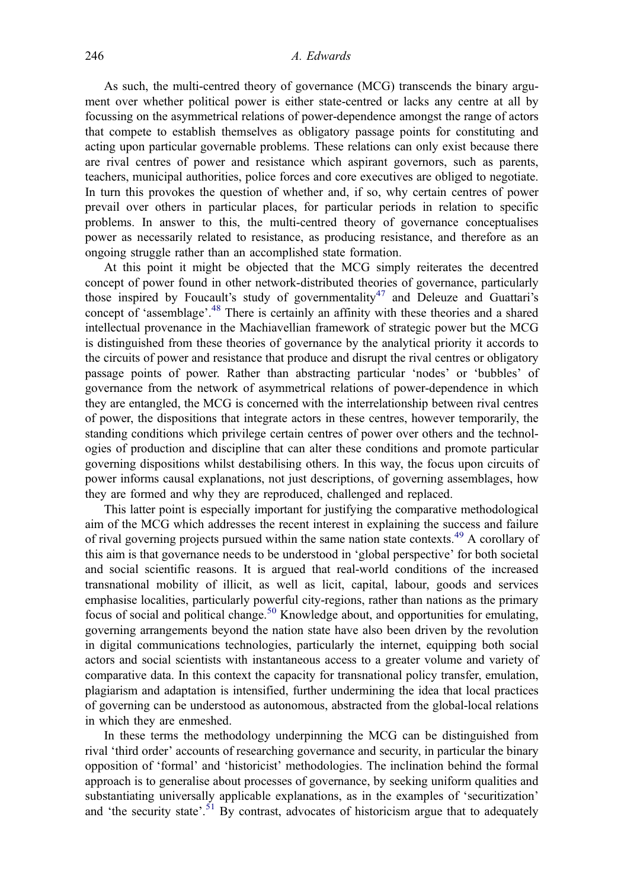As such, the multi-centred theory of governance (MCG) transcends the binary argument over whether political power is either state-centred or lacks any centre at all by focussing on the asymmetrical relations of power-dependence amongst the range of actors that compete to establish themselves as obligatory passage points for constituting and acting upon particular governable problems. These relations can only exist because there are rival centres of power and resistance which aspirant governors, such as parents, teachers, municipal authorities, police forces and core executives are obliged to negotiate. In turn this provokes the question of whether and, if so, why certain centres of power prevail over others in particular places, for particular periods in relation to specific problems. In answer to this, the multi-centred theory of governance conceptualises power as necessarily related to resistance, as producing resistance, and therefore as an ongoing struggle rather than an accomplished state formation.

At this point it might be objected that the MCG simply reiterates the decentred concept of power found in other network-distributed theories of governance, particularly those inspired by Foucault's study of governmentality<sup>[47](#page-19-0)</sup> and Deleuze and Guattari's concept of 'assemblage'. [48](#page-19-0) There is certainly an affinity with these theories and a shared intellectual provenance in the Machiavellian framework of strategic power but the MCG is distinguished from these theories of governance by the analytical priority it accords to the circuits of power and resistance that produce and disrupt the rival centres or obligatory passage points of power. Rather than abstracting particular 'nodes' or 'bubbles' of governance from the network of asymmetrical relations of power-dependence in which they are entangled, the MCG is concerned with the interrelationship between rival centres of power, the dispositions that integrate actors in these centres, however temporarily, the standing conditions which privilege certain centres of power over others and the technologies of production and discipline that can alter these conditions and promote particular governing dispositions whilst destabilising others. In this way, the focus upon circuits of power informs causal explanations, not just descriptions, of governing assemblages, how they are formed and why they are reproduced, challenged and replaced.

This latter point is especially important for justifying the comparative methodological aim of the MCG which addresses the recent interest in explaining the success and failure of rival governing projects pursued within the same nation state contexts.<sup>[49](#page-19-0)</sup> A corollary of this aim is that governance needs to be understood in 'global perspective' for both societal and social scientific reasons. It is argued that real-world conditions of the increased transnational mobility of illicit, as well as licit, capital, labour, goods and services emphasise localities, particularly powerful city-regions, rather than nations as the primary focus of social and political change.<sup>[50](#page-19-0)</sup> Knowledge about, and opportunities for emulating, governing arrangements beyond the nation state have also been driven by the revolution in digital communications technologies, particularly the internet, equipping both social actors and social scientists with instantaneous access to a greater volume and variety of comparative data. In this context the capacity for transnational policy transfer, emulation, plagiarism and adaptation is intensified, further undermining the idea that local practices of governing can be understood as autonomous, abstracted from the global-local relations in which they are enmeshed.

In these terms the methodology underpinning the MCG can be distinguished from rival 'third order' accounts of researching governance and security, in particular the binary opposition of 'formal' and 'historicist' methodologies. The inclination behind the formal approach is to generalise about processes of governance, by seeking uniform qualities and substantiating universally applicable explanations, as in the examples of 'securitization' and 'the security state'.<sup>[51](#page-19-0)</sup> By contrast, advocates of historicism argue that to adequately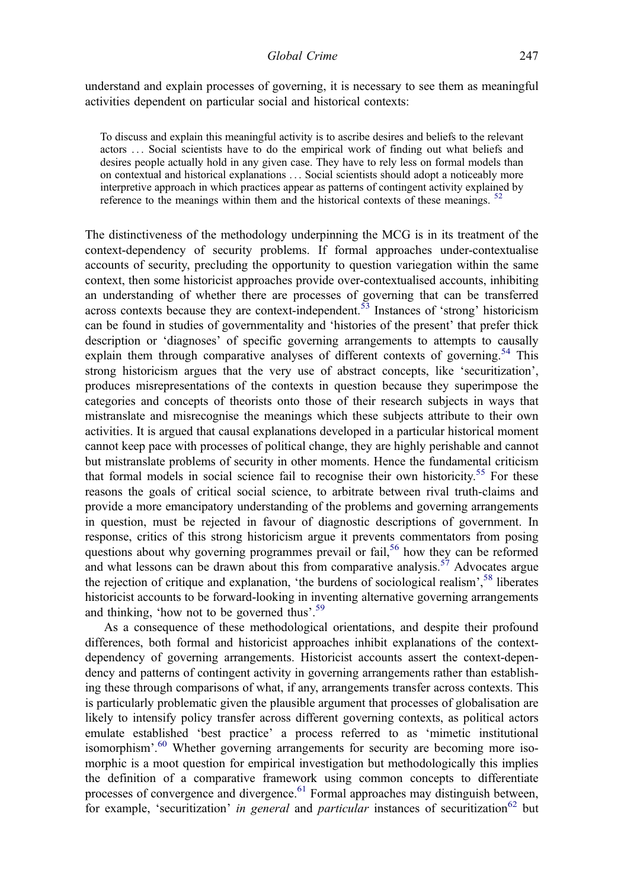understand and explain processes of governing, it is necessary to see them as meaningful activities dependent on particular social and historical contexts:

To discuss and explain this meaningful activity is to ascribe desires and beliefs to the relevant actors . . . Social scientists have to do the empirical work of finding out what beliefs and desires people actually hold in any given case. They have to rely less on formal models than on contextual and historical explanations . . . Social scientists should adopt a noticeably more interpretive approach in which practices appear as patterns of contingent activity explained by reference to the meanings within them and the historical contexts of these meanings. <sup>[52](#page-19-0)</sup>

The distinctiveness of the methodology underpinning the MCG is in its treatment of the context-dependency of security problems. If formal approaches under-contextualise accounts of security, precluding the opportunity to question variegation within the same context, then some historicist approaches provide over-contextualised accounts, inhibiting an understanding of whether there are processes of governing that can be transferred across contexts because they are context-independent.<sup>[53](#page-19-0)</sup> Instances of 'strong' historicism can be found in studies of governmentality and 'histories of the present' that prefer thick description or 'diagnoses' of specific governing arrangements to attempts to causally explain them through comparative analyses of different contexts of governing.<sup>[54](#page-19-0)</sup> This strong historicism argues that the very use of abstract concepts, like 'securitization', produces misrepresentations of the contexts in question because they superimpose the categories and concepts of theorists onto those of their research subjects in ways that mistranslate and misrecognise the meanings which these subjects attribute to their own activities. It is argued that causal explanations developed in a particular historical moment cannot keep pace with processes of political change, they are highly perishable and cannot but mistranslate problems of security in other moments. Hence the fundamental criticism that formal models in social science fail to recognise their own historicity.<sup>[55](#page-19-0)</sup> For these reasons the goals of critical social science, to arbitrate between rival truth-claims and provide a more emancipatory understanding of the problems and governing arrangements in question, must be rejected in favour of diagnostic descriptions of government. In response, critics of this strong historicism argue it prevents commentators from posing questions about why governing programmes prevail or fail,<sup>[56](#page-19-0)</sup> how they can be reformed and what lessons can be drawn about this from comparative analysis.<sup>[57](#page-19-0)</sup> Advocates argue the rejection of critique and explanation, 'the burdens of sociological realism', [58](#page-19-0) liberates historicist accounts to be forward-looking in inventing alternative governing arrangements and thinking, 'how not to be governed thus'. [59](#page-19-0)

As a consequence of these methodological orientations, and despite their profound differences, both formal and historicist approaches inhibit explanations of the contextdependency of governing arrangements. Historicist accounts assert the context-dependency and patterns of contingent activity in governing arrangements rather than establishing these through comparisons of what, if any, arrangements transfer across contexts. This is particularly problematic given the plausible argument that processes of globalisation are likely to intensify policy transfer across different governing contexts, as political actors emulate established 'best practice' a process referred to as 'mimetic institutional isomorphism'.<sup>[60](#page-19-0)</sup> Whether governing arrangements for security are becoming more isomorphic is a moot question for empirical investigation but methodologically this implies the definition of a comparative framework using common concepts to differentiate processes of convergence and divergence.<sup>[61](#page-19-0)</sup> Formal approaches may distinguish between, for example, 'securitization' in general and particular instances of securitization<sup>[62](#page-19-0)</sup> but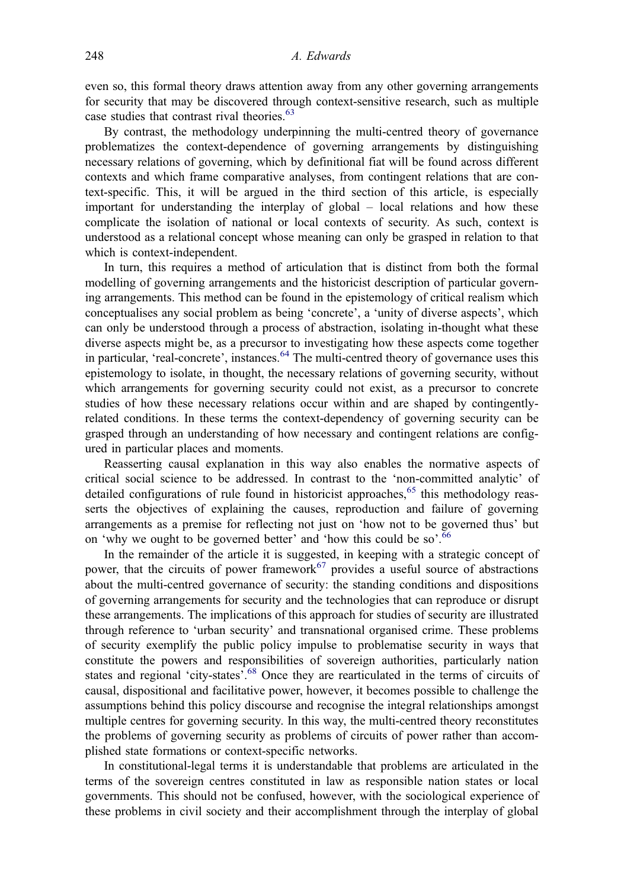even so, this formal theory draws attention away from any other governing arrangements for security that may be discovered through context-sensitive research, such as multiple case studies that contrast rival theories.<sup>[63](#page-19-0)</sup>

By contrast, the methodology underpinning the multi-centred theory of governance problematizes the context-dependence of governing arrangements by distinguishing necessary relations of governing, which by definitional fiat will be found across different contexts and which frame comparative analyses, from contingent relations that are context-specific. This, it will be argued in the third section of this article, is especially important for understanding the interplay of global – local relations and how these complicate the isolation of national or local contexts of security. As such, context is understood as a relational concept whose meaning can only be grasped in relation to that which is context-independent.

In turn, this requires a method of articulation that is distinct from both the formal modelling of governing arrangements and the historicist description of particular governing arrangements. This method can be found in the epistemology of critical realism which conceptualises any social problem as being 'concrete', a 'unity of diverse aspects', which can only be understood through a process of abstraction, isolating in-thought what these diverse aspects might be, as a precursor to investigating how these aspects come together in particular, 'real-concrete', instances. $64$  The multi-centred theory of governance uses this epistemology to isolate, in thought, the necessary relations of governing security, without which arrangements for governing security could not exist, as a precursor to concrete studies of how these necessary relations occur within and are shaped by contingentlyrelated conditions. In these terms the context-dependency of governing security can be grasped through an understanding of how necessary and contingent relations are configured in particular places and moments.

Reasserting causal explanation in this way also enables the normative aspects of critical social science to be addressed. In contrast to the 'non-committed analytic' of detailed configurations of rule found in historicist approaches,  $65$  this methodology reasserts the objectives of explaining the causes, reproduction and failure of governing arrangements as a premise for reflecting not just on 'how not to be governed thus' but on 'why we ought to be governed better' and 'how this could be so'.<sup>[66](#page-19-0)</sup>

In the remainder of the article it is suggested, in keeping with a strategic concept of power, that the circuits of power framework $67$  provides a useful source of abstractions about the multi-centred governance of security: the standing conditions and dispositions of governing arrangements for security and the technologies that can reproduce or disrupt these arrangements. The implications of this approach for studies of security are illustrated through reference to 'urban security' and transnational organised crime. These problems of security exemplify the public policy impulse to problematise security in ways that constitute the powers and responsibilities of sovereign authorities, particularly nation states and regional 'city-states'.<sup>[68](#page-19-0)</sup> Once they are rearticulated in the terms of circuits of causal, dispositional and facilitative power, however, it becomes possible to challenge the assumptions behind this policy discourse and recognise the integral relationships amongst multiple centres for governing security. In this way, the multi-centred theory reconstitutes the problems of governing security as problems of circuits of power rather than accomplished state formations or context-specific networks.

In constitutional-legal terms it is understandable that problems are articulated in the terms of the sovereign centres constituted in law as responsible nation states or local governments. This should not be confused, however, with the sociological experience of these problems in civil society and their accomplishment through the interplay of global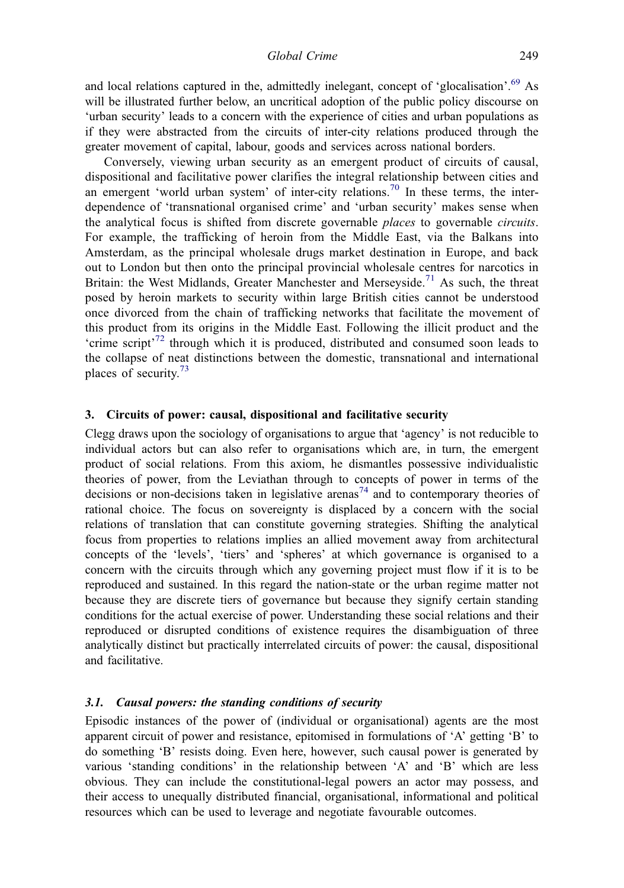Global Crime 249

and local relations captured in the, admittedly inelegant, concept of 'glocalisation'. [69](#page-19-0) As will be illustrated further below, an uncritical adoption of the public policy discourse on 'urban security' leads to a concern with the experience of cities and urban populations as if they were abstracted from the circuits of inter-city relations produced through the greater movement of capital, labour, goods and services across national borders.

Conversely, viewing urban security as an emergent product of circuits of causal, dispositional and facilitative power clarifies the integral relationship between cities and an emergent 'world urban system' of inter-city relations.<sup>[70](#page-20-0)</sup> In these terms, the interdependence of 'transnational organised crime' and 'urban security' makes sense when the analytical focus is shifted from discrete governable *places* to governable *circuits*. For example, the trafficking of heroin from the Middle East, via the Balkans into Amsterdam, as the principal wholesale drugs market destination in Europe, and back out to London but then onto the principal provincial wholesale centres for narcotics in Britain: the West Midlands, Greater Manchester and Merseyside.<sup>[71](#page-20-0)</sup> As such, the threat posed by heroin markets to security within large British cities cannot be understood once divorced from the chain of trafficking networks that facilitate the movement of this product from its origins in the Middle East. Following the illicit product and the 'crime script'<sup>[72](#page-20-0)</sup> through which it is produced, distributed and consumed soon leads to the collapse of neat distinctions between the domestic, transnational and international places of security. $\frac{73}{3}$  $\frac{73}{3}$  $\frac{73}{3}$ 

# 3. Circuits of power: causal, dispositional and facilitative security

Clegg draws upon the sociology of organisations to argue that 'agency' is not reducible to individual actors but can also refer to organisations which are, in turn, the emergent product of social relations. From this axiom, he dismantles possessive individualistic theories of power, from the Leviathan through to concepts of power in terms of the decisions or non-decisions taken in legislative arenas<sup>[74](#page-20-0)</sup> and to contemporary theories of rational choice. The focus on sovereignty is displaced by a concern with the social relations of translation that can constitute governing strategies. Shifting the analytical focus from properties to relations implies an allied movement away from architectural concepts of the 'levels', 'tiers' and 'spheres' at which governance is organised to a concern with the circuits through which any governing project must flow if it is to be reproduced and sustained. In this regard the nation-state or the urban regime matter not because they are discrete tiers of governance but because they signify certain standing conditions for the actual exercise of power. Understanding these social relations and their reproduced or disrupted conditions of existence requires the disambiguation of three analytically distinct but practically interrelated circuits of power: the causal, dispositional and facilitative.

#### 3.1. Causal powers: the standing conditions of security

Episodic instances of the power of (individual or organisational) agents are the most apparent circuit of power and resistance, epitomised in formulations of 'A' getting 'B' to do something 'B' resists doing. Even here, however, such causal power is generated by various 'standing conditions' in the relationship between 'A' and 'B' which are less obvious. They can include the constitutional-legal powers an actor may possess, and their access to unequally distributed financial, organisational, informational and political resources which can be used to leverage and negotiate favourable outcomes.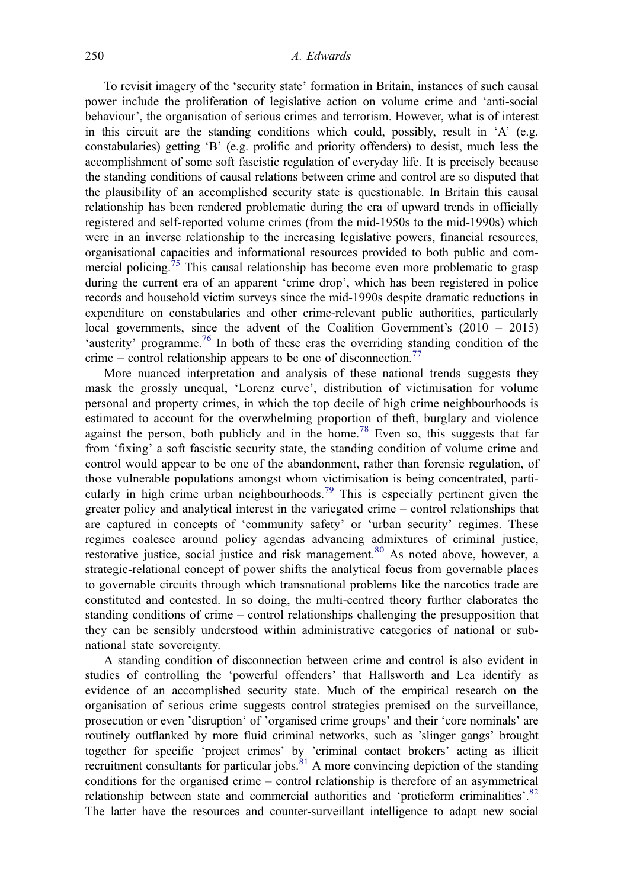To revisit imagery of the 'security state' formation in Britain, instances of such causal power include the proliferation of legislative action on volume crime and 'anti-social behaviour', the organisation of serious crimes and terrorism. However, what is of interest in this circuit are the standing conditions which could, possibly, result in 'A' (e.g. constabularies) getting 'B' (e.g. prolific and priority offenders) to desist, much less the accomplishment of some soft fascistic regulation of everyday life. It is precisely because the standing conditions of causal relations between crime and control are so disputed that the plausibility of an accomplished security state is questionable. In Britain this causal relationship has been rendered problematic during the era of upward trends in officially registered and self-reported volume crimes (from the mid-1950s to the mid-1990s) which were in an inverse relationship to the increasing legislative powers, financial resources, organisational capacities and informational resources provided to both public and commercial policing.<sup> $75$ </sup> This causal relationship has become even more problematic to grasp during the current era of an apparent 'crime drop', which has been registered in police records and household victim surveys since the mid-1990s despite dramatic reductions in expenditure on constabularies and other crime-relevant public authorities, particularly local governments, since the advent of the Coalition Government's (2010 – 2015) 'austerity' programme.<sup>[76](#page-20-0)</sup> In both of these eras the overriding standing condition of the crime – control relationship appears to be one of disconnection.<sup>[77](#page-20-0)</sup>

More nuanced interpretation and analysis of these national trends suggests they mask the grossly unequal, 'Lorenz curve', distribution of victimisation for volume personal and property crimes, in which the top decile of high crime neighbourhoods is estimated to account for the overwhelming proportion of theft, burglary and violence against the person, both publicly and in the home.<sup>[78](#page-20-0)</sup> Even so, this suggests that far from 'fixing' a soft fascistic security state, the standing condition of volume crime and control would appear to be one of the abandonment, rather than forensic regulation, of those vulnerable populations amongst whom victimisation is being concentrated, parti-cularly in high crime urban neighbourhoods.<sup>[79](#page-20-0)</sup> This is especially pertinent given the greater policy and analytical interest in the variegated crime – control relationships that are captured in concepts of 'community safety' or 'urban security' regimes. These regimes coalesce around policy agendas advancing admixtures of criminal justice, restorative justice, social justice and risk management.<sup>[80](#page-20-0)</sup> As noted above, however, a strategic-relational concept of power shifts the analytical focus from governable places to governable circuits through which transnational problems like the narcotics trade are constituted and contested. In so doing, the multi-centred theory further elaborates the standing conditions of crime – control relationships challenging the presupposition that they can be sensibly understood within administrative categories of national or subnational state sovereignty.

A standing condition of disconnection between crime and control is also evident in studies of controlling the 'powerful offenders' that Hallsworth and Lea identify as evidence of an accomplished security state. Much of the empirical research on the organisation of serious crime suggests control strategies premised on the surveillance, prosecution or even 'disruption' of 'organised crime groups' and their 'core nominals' are routinely outflanked by more fluid criminal networks, such as 'slinger gangs' brought together for specific 'project crimes' by 'criminal contact brokers' acting as illicit recruitment consultants for particular jobs. $81$  A more convincing depiction of the standing conditions for the organised crime – control relationship is therefore of an asymmetrical relationship between state and commercial authorities and 'protieform criminalities'.<sup>[82](#page-20-0)</sup> The latter have the resources and counter-surveillant intelligence to adapt new social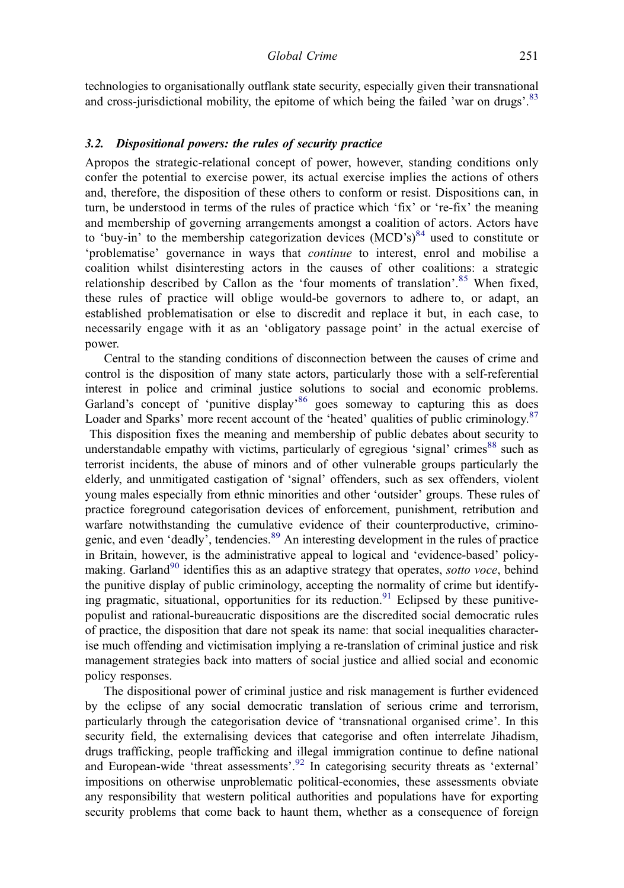technologies to organisationally outflank state security, especially given their transnational and cross-jurisdictional mobility, the epitome of which being the failed 'war on drugs'.<sup>[83](#page-20-0)</sup>

# 3.2. Dispositional powers: the rules of security practice

Apropos the strategic-relational concept of power, however, standing conditions only confer the potential to exercise power, its actual exercise implies the actions of others and, therefore, the disposition of these others to conform or resist. Dispositions can, in turn, be understood in terms of the rules of practice which 'fix' or 're-fix' the meaning and membership of governing arrangements amongst a coalition of actors. Actors have to 'buy-in' to the membership categorization devices  $(MCD's)^{84}$  $(MCD's)^{84}$  $(MCD's)^{84}$  used to constitute or 'problematise' governance in ways that continue to interest, enrol and mobilise a coalition whilst disinteresting actors in the causes of other coalitions: a strategic relationship described by Callon as the 'four moments of translation'.<sup>[85](#page-20-0)</sup> When fixed, these rules of practice will oblige would-be governors to adhere to, or adapt, an established problematisation or else to discredit and replace it but, in each case, to necessarily engage with it as an 'obligatory passage point' in the actual exercise of power.

Central to the standing conditions of disconnection between the causes of crime and control is the disposition of many state actors, particularly those with a self-referential interest in police and criminal justice solutions to social and economic problems. Garland's concept of 'punitive display'<sup>[86](#page-20-0)</sup> goes someway to capturing this as does Loader and Sparks' more recent account of the 'heated' qualities of public criminology. $87$ 

This disposition fixes the meaning and membership of public debates about security to understandable empathy with victims, particularly of egregious 'signal' crimes<sup>[88](#page-20-0)</sup> such as terrorist incidents, the abuse of minors and of other vulnerable groups particularly the elderly, and unmitigated castigation of 'signal' offenders, such as sex offenders, violent young males especially from ethnic minorities and other 'outsider' groups. These rules of practice foreground categorisation devices of enforcement, punishment, retribution and warfare notwithstanding the cumulative evidence of their counterproductive, crimino-genic, and even 'deadly', tendencies.<sup>[89](#page-20-0)</sup> An interesting development in the rules of practice in Britain, however, is the administrative appeal to logical and 'evidence-based' policy-making. Garland<sup>[90](#page-20-0)</sup> identifies this as an adaptive strategy that operates, *sotto voce*, behind the punitive display of public criminology, accepting the normality of crime but identify-ing pragmatic, situational, opportunities for its reduction.<sup>[91](#page-20-0)</sup> Eclipsed by these punitivepopulist and rational-bureaucratic dispositions are the discredited social democratic rules of practice, the disposition that dare not speak its name: that social inequalities characterise much offending and victimisation implying a re-translation of criminal justice and risk management strategies back into matters of social justice and allied social and economic policy responses.

The dispositional power of criminal justice and risk management is further evidenced by the eclipse of any social democratic translation of serious crime and terrorism, particularly through the categorisation device of 'transnational organised crime'. In this security field, the externalising devices that categorise and often interrelate Jihadism, drugs trafficking, people trafficking and illegal immigration continue to define national and European-wide 'threat assessments'. [92](#page-20-0) In categorising security threats as 'external' impositions on otherwise unproblematic political-economies, these assessments obviate any responsibility that western political authorities and populations have for exporting security problems that come back to haunt them, whether as a consequence of foreign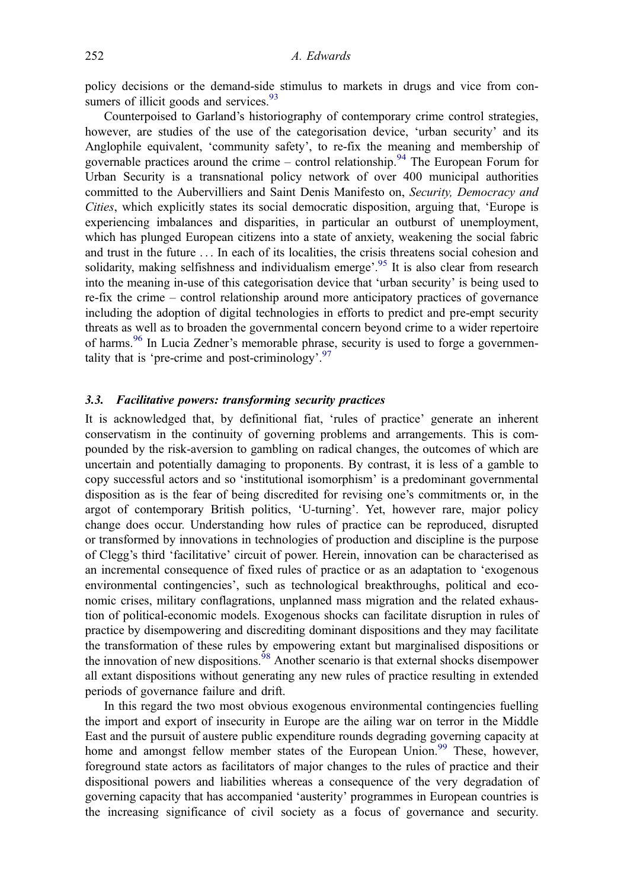<span id="page-13-0"></span>policy decisions or the demand-side stimulus to markets in drugs and vice from consumers of illicit goods and services.  $93$ 

Counterpoised to Garland's historiography of contemporary crime control strategies, however, are studies of the use of the categorisation device, 'urban security' and its Anglophile equivalent, 'community safety', to re-fix the meaning and membership of governable practices around the crime – control relationship.<sup>[94](#page-20-0)</sup> The European Forum for Urban Security is a transnational policy network of over 400 municipal authorities committed to the Aubervilliers and Saint Denis Manifesto on, Security, Democracy and Cities, which explicitly states its social democratic disposition, arguing that, 'Europe is experiencing imbalances and disparities, in particular an outburst of unemployment, which has plunged European citizens into a state of anxiety, weakening the social fabric and trust in the future . . . In each of its localities, the crisis threatens social cohesion and solidarity, making selfishness and individualism emerge<sup>2</sup>.<sup>[95](#page-20-0)</sup> It is also clear from research into the meaning in-use of this categorisation device that 'urban security' is being used to re-fix the crime – control relationship around more anticipatory practices of governance including the adoption of digital technologies in efforts to predict and pre-empt security threats as well as to broaden the governmental concern beyond crime to a wider repertoire of harms.<sup>[96](#page-20-0)</sup> In Lucia Zedner's memorable phrase, security is used to forge a governmen-tality that is 'pre-crime and post-criminology'.<sup>[97](#page-20-0)</sup>

# 3.3. Facilitative powers: transforming security practices

It is acknowledged that, by definitional fiat, 'rules of practice' generate an inherent conservatism in the continuity of governing problems and arrangements. This is compounded by the risk-aversion to gambling on radical changes, the outcomes of which are uncertain and potentially damaging to proponents. By contrast, it is less of a gamble to copy successful actors and so 'institutional isomorphism' is a predominant governmental disposition as is the fear of being discredited for revising one's commitments or, in the argot of contemporary British politics, 'U-turning'. Yet, however rare, major policy change does occur. Understanding how rules of practice can be reproduced, disrupted or transformed by innovations in technologies of production and discipline is the purpose of Clegg's third 'facilitative' circuit of power. Herein, innovation can be characterised as an incremental consequence of fixed rules of practice or as an adaptation to 'exogenous environmental contingencies', such as technological breakthroughs, political and economic crises, military conflagrations, unplanned mass migration and the related exhaustion of political-economic models. Exogenous shocks can facilitate disruption in rules of practice by disempowering and discrediting dominant dispositions and they may facilitate the transformation of these rules by empowering extant but marginalised dispositions or the innovation of new dispositions.<sup>[98](#page-20-0)</sup> Another scenario is that external shocks disempower all extant dispositions without generating any new rules of practice resulting in extended periods of governance failure and drift.

In this regard the two most obvious exogenous environmental contingencies fuelling the import and export of insecurity in Europe are the ailing war on terror in the Middle East and the pursuit of austere public expenditure rounds degrading governing capacity at home and amongst fellow member states of the European Union.<sup>[99](#page-20-0)</sup> These, however, foreground state actors as facilitators of major changes to the rules of practice and their dispositional powers and liabilities whereas a consequence of the very degradation of governing capacity that has accompanied 'austerity' programmes in European countries is the increasing significance of civil society as a focus of governance and security.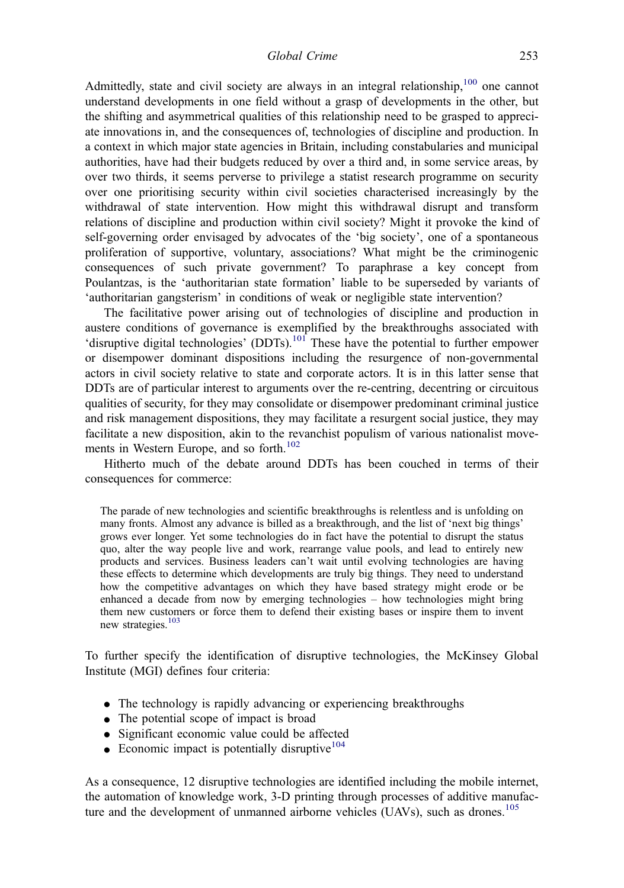Admittedly, state and civil society are always in an integral relationship,  $100$  one cannot understand developments in one field without a grasp of developments in the other, but the shifting and asymmetrical qualities of this relationship need to be grasped to appreciate innovations in, and the consequences of, technologies of discipline and production. In a context in which major state agencies in Britain, including constabularies and municipal authorities, have had their budgets reduced by over a third and, in some service areas, by over two thirds, it seems perverse to privilege a statist research programme on security over one prioritising security within civil societies characterised increasingly by the withdrawal of state intervention. How might this withdrawal disrupt and transform relations of discipline and production within civil society? Might it provoke the kind of self-governing order envisaged by advocates of the 'big society', one of a spontaneous proliferation of supportive, voluntary, associations? What might be the criminogenic consequences of such private government? To paraphrase a key concept from Poulantzas, is the 'authoritarian state formation' liable to be superseded by variants of 'authoritarian gangsterism' in conditions of weak or negligible state intervention?

The facilitative power arising out of technologies of discipline and production in austere conditions of governance is exemplified by the breakthroughs associated with 'disruptive digital technologies' (DDTs).<sup>[101](#page-20-0)</sup> These have the potential to further empower or disempower dominant dispositions including the resurgence of non-governmental actors in civil society relative to state and corporate actors. It is in this latter sense that DDTs are of particular interest to arguments over the re-centring, decentring or circuitous qualities of security, for they may consolidate or disempower predominant criminal justice and risk management dispositions, they may facilitate a resurgent social justice, they may facilitate a new disposition, akin to the revanchist populism of various nationalist move-ments in Western Europe, and so forth.<sup>[102](#page-20-0)</sup>

Hitherto much of the debate around DDTs has been couched in terms of their consequences for commerce:

The parade of new technologies and scientific breakthroughs is relentless and is unfolding on many fronts. Almost any advance is billed as a breakthrough, and the list of 'next big things' grows ever longer. Yet some technologies do in fact have the potential to disrupt the status quo, alter the way people live and work, rearrange value pools, and lead to entirely new products and services. Business leaders can't wait until evolving technologies are having these effects to determine which developments are truly big things. They need to understand how the competitive advantages on which they have based strategy might erode or be enhanced a decade from now by emerging technologies – how technologies might bring them new customers or force them to defend their existing bases or inspire them to invent new strategies.[103](#page-21-0)

To further specify the identification of disruptive technologies, the McKinsey Global Institute (MGI) defines four criteria:

- The technology is rapidly advancing or experiencing breakthroughs
- The potential scope of impact is broad
- Significant economic value could be affected
- Economic impact is potentially disruptive $104$

As a consequence, 12 disruptive technologies are identified including the mobile internet, the automation of knowledge work, 3-D printing through processes of additive manufac-ture and the development of unmanned airborne vehicles (UAVs), such as drones.<sup>[105](#page-21-0)</sup>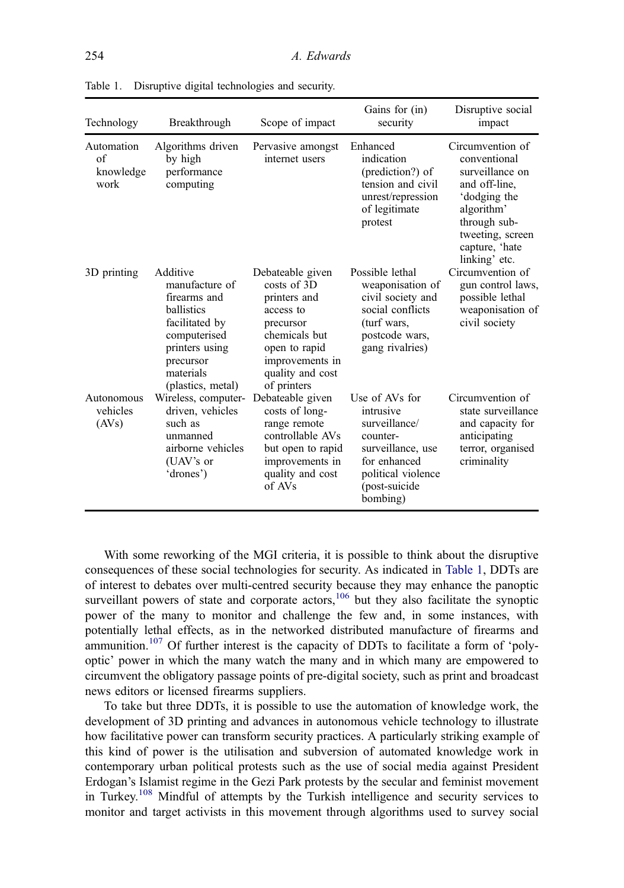| Technology                            | Breakthrough                                                                                                                                                | Scope of impact                                                                                                                                                       | Gains for (in)<br>security                                                                                                                       | Disruptive social<br>impact                                                                                                                                              |
|---------------------------------------|-------------------------------------------------------------------------------------------------------------------------------------------------------------|-----------------------------------------------------------------------------------------------------------------------------------------------------------------------|--------------------------------------------------------------------------------------------------------------------------------------------------|--------------------------------------------------------------------------------------------------------------------------------------------------------------------------|
| Automation<br>of<br>knowledge<br>work | Algorithms driven<br>by high<br>performance<br>computing                                                                                                    | Pervasive amongst<br>internet users                                                                                                                                   | Enhanced<br>indication<br>(prediction?) of<br>tension and civil<br>unrest/repression<br>of legitimate<br>protest                                 | Circumvention of<br>conventional<br>surveillance on<br>and off-line,<br>dodging the<br>algorithm'<br>through sub-<br>tweeting, screen<br>capture, 'hate<br>linking' etc. |
| 3D printing                           | Additive<br>manufacture of<br>firearms and<br>ballistics<br>facilitated by<br>computerised<br>printers using<br>precursor<br>materials<br>(plastics, metal) | Debateable given<br>$costs$ of $3D$<br>printers and<br>access to<br>precursor<br>chemicals but<br>open to rapid<br>improvements in<br>quality and cost<br>of printers | Possible lethal<br>weaponisation of<br>civil society and<br>social conflicts<br>(turf wars,<br>postcode wars.<br>gang rivalries)                 | Circumvention of<br>gun control laws,<br>possible lethal<br>weaponisation of<br>civil society                                                                            |
| Autonomous<br>vehicles<br>(AVs)       | Wireless, computer-<br>driven, vehicles<br>such as<br>unmanned<br>airborne vehicles<br>(UAV's or<br>'drones')                                               | Debateable given<br>costs of long-<br>range remote<br>controllable AVs<br>but open to rapid<br>improvements in<br>quality and cost<br>of AVs                          | Use of AVs for<br>intrusive<br>surveillance/<br>counter-<br>surveillance, use<br>for enhanced<br>political violence<br>(post-suicide<br>bombing) | Circumvention of<br>state surveillance<br>and capacity for<br>anticipating<br>terror, organised<br>criminality                                                           |

Table 1. Disruptive digital technologies and security.

With some reworking of the MGI criteria, it is possible to think about the disruptive consequences of these social technologies for security. As indicated in Table 1, DDTs are of interest to debates over multi-centred security because they may enhance the panoptic surveillant powers of state and corporate actors,<sup>[106](#page-21-0)</sup> but they also facilitate the synoptic power of the many to monitor and challenge the few and, in some instances, with potentially lethal effects, as in the networked distributed manufacture of firearms and ammunition.<sup>[107](#page-21-0)</sup> Of further interest is the capacity of DDTs to facilitate a form of 'polyoptic' power in which the many watch the many and in which many are empowered to circumvent the obligatory passage points of pre-digital society, such as print and broadcast news editors or licensed firearms suppliers.

To take but three DDTs, it is possible to use the automation of knowledge work, the development of 3D printing and advances in autonomous vehicle technology to illustrate how facilitative power can transform security practices. A particularly striking example of this kind of power is the utilisation and subversion of automated knowledge work in contemporary urban political protests such as the use of social media against President Erdogan's Islamist regime in the Gezi Park protests by the secular and feminist movement in Turkey.<sup>[108](#page-21-0)</sup> Mindful of attempts by the Turkish intelligence and security services to monitor and target activists in this movement through algorithms used to survey social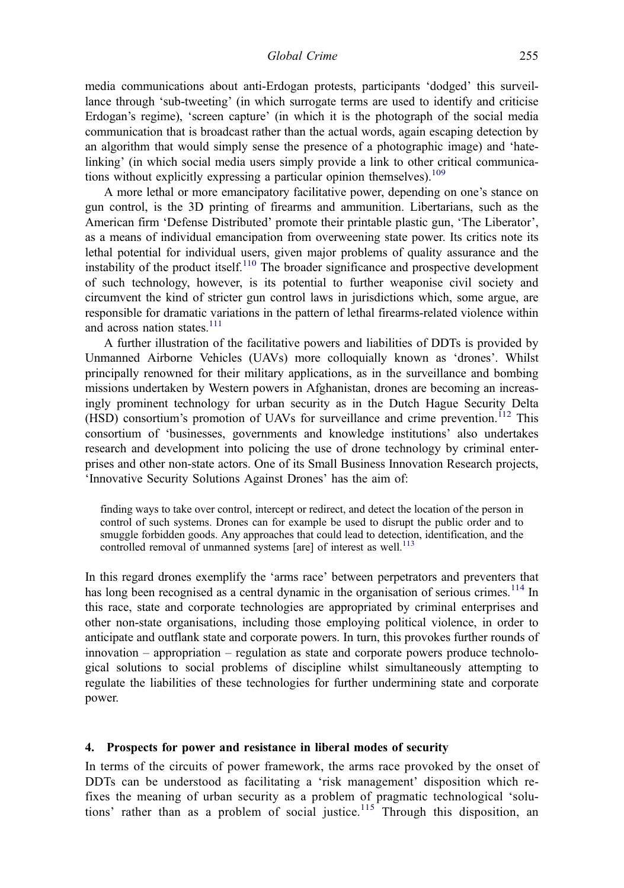media communications about anti-Erdogan protests, participants 'dodged' this surveillance through 'sub-tweeting' (in which surrogate terms are used to identify and criticise Erdogan's regime), 'screen capture' (in which it is the photograph of the social media communication that is broadcast rather than the actual words, again escaping detection by an algorithm that would simply sense the presence of a photographic image) and 'hatelinking' (in which social media users simply provide a link to other critical communica-tions without explicitly expressing a particular opinion themselves).<sup>[109](#page-21-0)</sup>

A more lethal or more emancipatory facilitative power, depending on one's stance on gun control, is the 3D printing of firearms and ammunition. Libertarians, such as the American firm 'Defense Distributed' promote their printable plastic gun, 'The Liberator', as a means of individual emancipation from overweening state power. Its critics note its lethal potential for individual users, given major problems of quality assurance and the instability of the product itself.<sup>[110](#page-21-0)</sup> The broader significance and prospective development of such technology, however, is its potential to further weaponise civil society and circumvent the kind of stricter gun control laws in jurisdictions which, some argue, are responsible for dramatic variations in the pattern of lethal firearms-related violence within and across nation states.<sup>111</sup>

A further illustration of the facilitative powers and liabilities of DDTs is provided by Unmanned Airborne Vehicles (UAVs) more colloquially known as 'drones'. Whilst principally renowned for their military applications, as in the surveillance and bombing missions undertaken by Western powers in Afghanistan, drones are becoming an increasingly prominent technology for urban security as in the Dutch Hague Security Delta  $(HSD)$  consortium's promotion of UAVs for surveillance and crime prevention.<sup>[112](#page-21-0)</sup> This consortium of 'businesses, governments and knowledge institutions' also undertakes research and development into policing the use of drone technology by criminal enterprises and other non-state actors. One of its Small Business Innovation Research projects, 'Innovative Security Solutions Against Drones' has the aim of:

finding ways to take over control, intercept or redirect, and detect the location of the person in control of such systems. Drones can for example be used to disrupt the public order and to smuggle forbidden goods. Any approaches that could lead to detection, identification, and the controlled removal of unmanned systems [are] of interest as well.<sup>[113](#page-21-0)</sup>

In this regard drones exemplify the 'arms race' between perpetrators and preventers that has long been recognised as a central dynamic in the organisation of serious crimes.<sup>[114](#page-21-0)</sup> In this race, state and corporate technologies are appropriated by criminal enterprises and other non-state organisations, including those employing political violence, in order to anticipate and outflank state and corporate powers. In turn, this provokes further rounds of innovation – appropriation – regulation as state and corporate powers produce technological solutions to social problems of discipline whilst simultaneously attempting to regulate the liabilities of these technologies for further undermining state and corporate power.

#### 4. Prospects for power and resistance in liberal modes of security

In terms of the circuits of power framework, the arms race provoked by the onset of DDTs can be understood as facilitating a 'risk management' disposition which refixes the meaning of urban security as a problem of pragmatic technological 'solu-tions' rather than as a problem of social justice.<sup>[115](#page-21-0)</sup> Through this disposition, an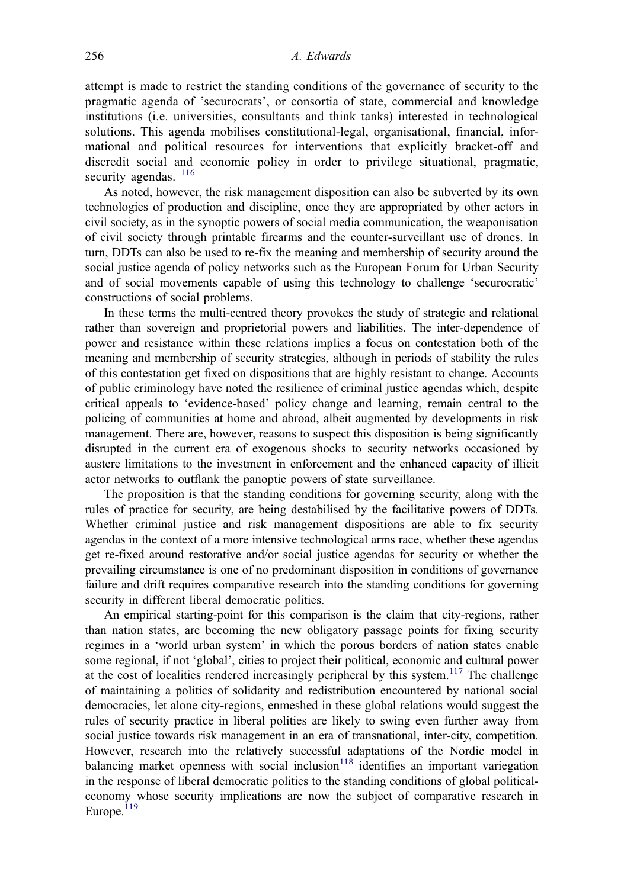attempt is made to restrict the standing conditions of the governance of security to the pragmatic agenda of 'securocrats', or consortia of state, commercial and knowledge institutions (i.e. universities, consultants and think tanks) interested in technological solutions. This agenda mobilises constitutional-legal, organisational, financial, informational and political resources for interventions that explicitly bracket-off and discredit social and economic policy in order to privilege situational, pragmatic, security agendas.  $^{116}$  $^{116}$  $^{116}$ 

As noted, however, the risk management disposition can also be subverted by its own technologies of production and discipline, once they are appropriated by other actors in civil society, as in the synoptic powers of social media communication, the weaponisation of civil society through printable firearms and the counter-surveillant use of drones. In turn, DDTs can also be used to re-fix the meaning and membership of security around the social justice agenda of policy networks such as the European Forum for Urban Security and of social movements capable of using this technology to challenge 'securocratic' constructions of social problems.

In these terms the multi-centred theory provokes the study of strategic and relational rather than sovereign and proprietorial powers and liabilities. The inter-dependence of power and resistance within these relations implies a focus on contestation both of the meaning and membership of security strategies, although in periods of stability the rules of this contestation get fixed on dispositions that are highly resistant to change. Accounts of public criminology have noted the resilience of criminal justice agendas which, despite critical appeals to 'evidence-based' policy change and learning, remain central to the policing of communities at home and abroad, albeit augmented by developments in risk management. There are, however, reasons to suspect this disposition is being significantly disrupted in the current era of exogenous shocks to security networks occasioned by austere limitations to the investment in enforcement and the enhanced capacity of illicit actor networks to outflank the panoptic powers of state surveillance.

The proposition is that the standing conditions for governing security, along with the rules of practice for security, are being destabilised by the facilitative powers of DDTs. Whether criminal justice and risk management dispositions are able to fix security agendas in the context of a more intensive technological arms race, whether these agendas get re-fixed around restorative and/or social justice agendas for security or whether the prevailing circumstance is one of no predominant disposition in conditions of governance failure and drift requires comparative research into the standing conditions for governing security in different liberal democratic polities.

An empirical starting-point for this comparison is the claim that city-regions, rather than nation states, are becoming the new obligatory passage points for fixing security regimes in a 'world urban system' in which the porous borders of nation states enable some regional, if not 'global', cities to project their political, economic and cultural power at the cost of localities rendered increasingly peripheral by this system.<sup>[117](#page-21-0)</sup> The challenge of maintaining a politics of solidarity and redistribution encountered by national social democracies, let alone city-regions, enmeshed in these global relations would suggest the rules of security practice in liberal polities are likely to swing even further away from social justice towards risk management in an era of transnational, inter-city, competition. However, research into the relatively successful adaptations of the Nordic model in balancing market openness with social inclusion $118$  identifies an important variegation in the response of liberal democratic polities to the standing conditions of global politicaleconomy whose security implications are now the subject of comparative research in Europe.<sup>[119](#page-21-0)</sup>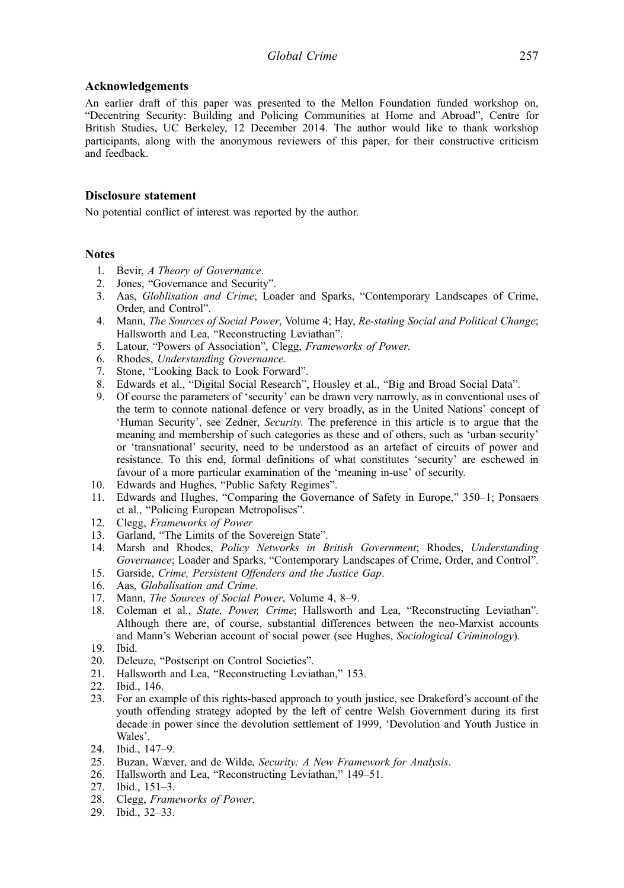# <span id="page-18-0"></span>Acknowledgements

An earlier draft of this paper was presented to the Mellon Foundation funded workshop on, "Decentring Security: Building and Policing Communities at Home and Abroad", Centre for British Studies, UC Berkeley, 12 December 2014. The author would like to thank workshop participants, along with the anonymous reviewers of this paper, for their constructive criticism and feedback.

# Disclosure statement

No potential conflict of interest was reported by the author.

# **Notes**

- 1. Bevir, A Theory of Governance.
- 2. Jones, "Governance and Security".
- 3. Aas, Globlisation and Crime; Loader and Sparks, "Contemporary Landscapes of Crime, Order, and Control".
- 4. Mann, The Sources of Social Power, Volume 4; Hay, Re-stating Social and Political Change; Hallsworth and Lea, "Reconstructing Leviathan".
- 5. Latour, "Powers of Association", Clegg, Frameworks of Power.
- 6. Rhodes, Understanding Governance.
- 7. Stone, "Looking Back to Look Forward".
- 8. Edwards et al., "Digital Social Research", Housley et al., "Big and Broad Social Data".
- 9. Of course the parameters of 'security' can be drawn very narrowly, as in conventional uses of the term to connote national defence or very broadly, as in the United Nations' concept of 'Human Security', see Zedner, Security. The preference in this article is to argue that the meaning and membership of such categories as these and of others, such as 'urban security' or 'transnational' security, need to be understood as an artefact of circuits of power and resistance. To this end, formal definitions of what constitutes 'security' are eschewed in favour of a more particular examination of the 'meaning in-use' of security.
- 10. Edwards and Hughes, "Public Safety Regimes".
- 11. Edwards and Hughes, "Comparing the Governance of Safety in Europe," 350–1; Ponsaers et al., "Policing European Metropolises".
- 12. Clegg, Frameworks of Power
- 13. Garland, "The Limits of the Sovereign State".
- 14. Marsh and Rhodes, Policy Networks in British Government; Rhodes, Understanding Governance; Loader and Sparks, "Contemporary Landscapes of Crime, Order, and Control".
- 15. Garside, Crime, Persistent Offenders and the Justice Gap.
- 16. Aas, Globalisation and Crime.
- 17. Mann, The Sources of Social Power, Volume 4, 8–9.
- 18. Coleman et al., State, Power, Crime; Hallsworth and Lea, "Reconstructing Leviathan". Although there are, of course, substantial differences between the neo-Marxist accounts and Mann's Weberian account of social power (see Hughes, Sociological Criminology).
- 19. Ibid.
- 20. Deleuze, "Postscript on Control Societies".
- 21. Hallsworth and Lea, "Reconstructing Leviathan," 153.
- 22. Ibid., 146.
- 23. For an example of this rights-based approach to youth justice, see Drakeford's account of the youth offending strategy adopted by the left of centre Welsh Government during its first decade in power since the devolution settlement of 1999, 'Devolution and Youth Justice in Wales'.
- 24. Ibid., 147–9.
- 25. Buzan, Wæver, and de Wilde, Security: A New Framework for Analysis.
- 26. Hallsworth and Lea, "Reconstructing Leviathan," 149–51.
- 27. Ibid., 151–3.
- 28. Clegg, Frameworks of Power.
- 29. Ibid., 32–33.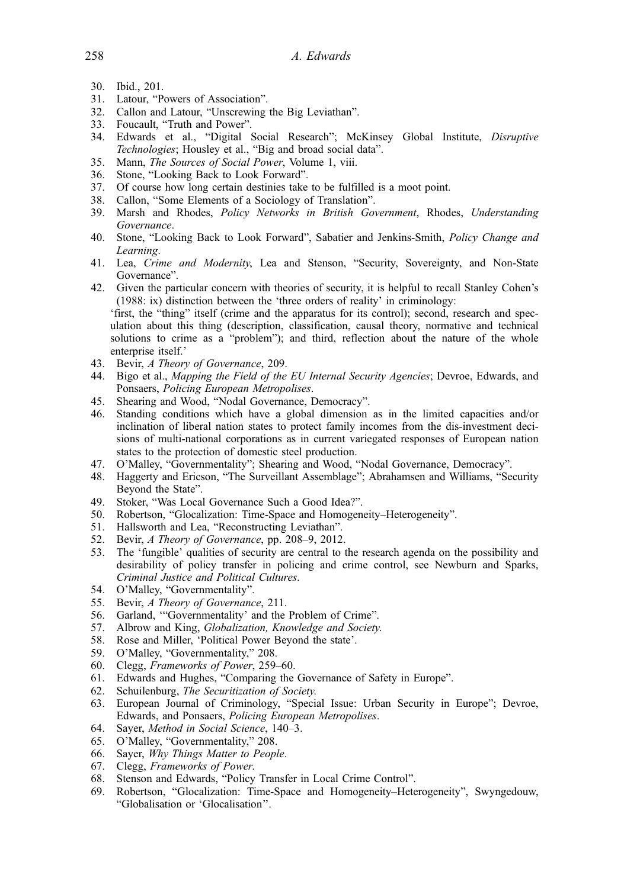- <span id="page-19-0"></span>30. Ibid., 201.
- 31. Latour, "Powers of Association".
- 32. Callon and Latour, "Unscrewing the Big Leviathan".
- 33. Foucault, "Truth and Power".
- 34. Edwards et al., "Digital Social Research"; McKinsey Global Institute, Disruptive Technologies; Housley et al., "Big and broad social data".
- 35. Mann, The Sources of Social Power, Volume 1, viii.
- 36. Stone, "Looking Back to Look Forward".
- 37. Of course how long certain destinies take to be fulfilled is a moot point.
- 38. Callon, "Some Elements of a Sociology of Translation".
- 39. Marsh and Rhodes, Policy Networks in British Government, Rhodes, Understanding Governance.
- 40. Stone, "Looking Back to Look Forward", Sabatier and Jenkins-Smith, Policy Change and Learning.
- 41. Lea, Crime and Modernity, Lea and Stenson, "Security, Sovereignty, and Non-State Governance".
- 42. Given the particular concern with theories of security, it is helpful to recall Stanley Cohen's (1988: ix) distinction between the 'three orders of reality' in criminology:

'first, the "thing" itself (crime and the apparatus for its control); second, research and speculation about this thing (description, classification, causal theory, normative and technical solutions to crime as a "problem"); and third, reflection about the nature of the whole enterprise itself.'

- 43. Bevir, A Theory of Governance, 209.
- 44. Bigo et al., Mapping the Field of the EU Internal Security Agencies; Devroe, Edwards, and Ponsaers, Policing European Metropolises.
- 45. Shearing and Wood, "Nodal Governance, Democracy".
- 46. Standing conditions which have a global dimension as in the limited capacities and/or inclination of liberal nation states to protect family incomes from the dis-investment decisions of multi-national corporations as in current variegated responses of European nation states to the protection of domestic steel production.
- 47. O'Malley, "Governmentality"; Shearing and Wood, "Nodal Governance, Democracy".
- 48. Haggerty and Ericson, "The Surveillant Assemblage"; Abrahamsen and Williams, "Security Beyond the State".
- 49. Stoker, "Was Local Governance Such a Good Idea?".
- 50. Robertson, "Glocalization: Time-Space and Homogeneity–Heterogeneity".
- 51. Hallsworth and Lea, "Reconstructing Leviathan".
- 52. Bevir, A Theory of Governance, pp. 208-9, 2012.
- 53. The 'fungible' qualities of security are central to the research agenda on the possibility and desirability of policy transfer in policing and crime control, see Newburn and Sparks, Criminal Justice and Political Cultures.
- 54. O'Malley, "Governmentality".
- 55. Bevir, A Theory of Governance, 211.
- 56. Garland, '"Governmentality' and the Problem of Crime".
- 57. Albrow and King, Globalization, Knowledge and Society.
- 58. Rose and Miller, 'Political Power Beyond the state'.
- 59. O'Malley, "Governmentality," 208.
- 60. Clegg, Frameworks of Power, 259–60.
- 61. Edwards and Hughes, "Comparing the Governance of Safety in Europe".
- 62. Schuilenburg, The Securitization of Society.
- 63. European Journal of Criminology, "Special Issue: Urban Security in Europe"; Devroe, Edwards, and Ponsaers, Policing European Metropolises.
- 64. Sayer, Method in Social Science, 140–3.
- 65. O'Malley, "Governmentality," 208.
- 66. Sayer, Why Things Matter to People.
- 67. Clegg, Frameworks of Power.
- 68. Stenson and Edwards, "Policy Transfer in Local Crime Control".
- 69. Robertson, "Glocalization: Time-Space and Homogeneity–Heterogeneity", Swyngedouw, "Globalisation or 'Glocalisation''.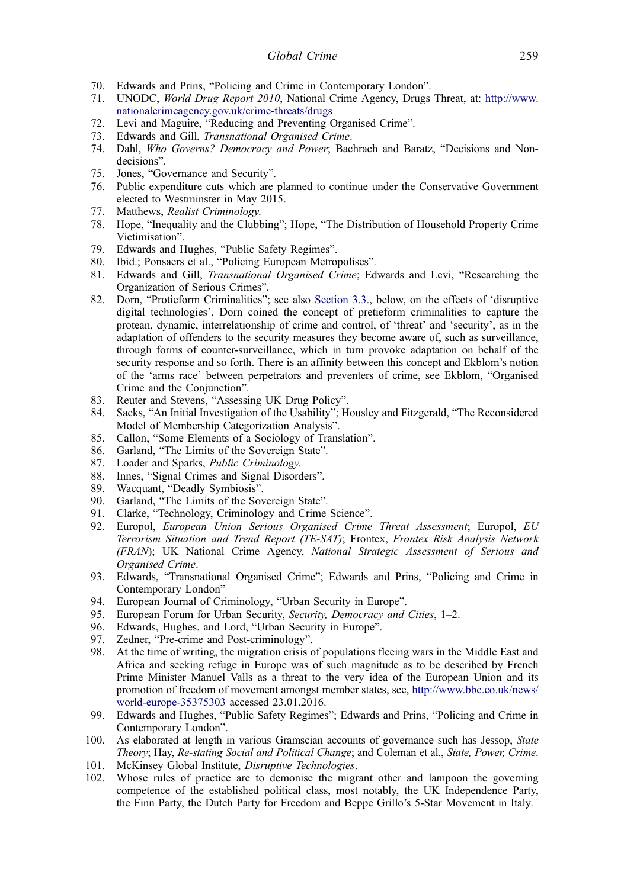- <span id="page-20-0"></span>70. Edwards and Prins, "Policing and Crime in Contemporary London".
- 71. UNODC, World Drug Report 2010, National Crime Agency, Drugs Threat, at: [http://www.](http://www.nationalcrimeagency.gov.uk/crime-threats/drugs) [nationalcrimeagency.gov.uk/crime-threats/drugs](http://www.nationalcrimeagency.gov.uk/crime-threats/drugs)
- 72. Levi and Maguire, "Reducing and Preventing Organised Crime".
- 73. Edwards and Gill, Transnational Organised Crime.
- 74. Dahl, Who Governs? Democracy and Power; Bachrach and Baratz, "Decisions and Nondecisions".
- 75. Jones, "Governance and Security".
- 76. Public expenditure cuts which are planned to continue under the Conservative Government elected to Westminster in May 2015.
- 77. Matthews, Realist Criminology.
- 78. Hope, "Inequality and the Clubbing"; Hope, "The Distribution of Household Property Crime Victimisation".
- 79. Edwards and Hughes, "Public Safety Regimes".
- 80. Ibid.; Ponsaers et al., "Policing European Metropolises".
- 81. Edwards and Gill, Transnational Organised Crime; Edwards and Levi, "Researching the Organization of Serious Crimes".
- 82. Dorn, "Protieform Criminalities"; see also [Section 3.3.](#page-13-0), below, on the effects of 'disruptive digital technologies'. Dorn coined the concept of pretieform criminalities to capture the protean, dynamic, interrelationship of crime and control, of 'threat' and 'security', as in the adaptation of offenders to the security measures they become aware of, such as surveillance, through forms of counter-surveillance, which in turn provoke adaptation on behalf of the security response and so forth. There is an affinity between this concept and Ekblom's notion of the 'arms race' between perpetrators and preventers of crime, see Ekblom, "Organised Crime and the Conjunction".
- 83. Reuter and Stevens, "Assessing UK Drug Policy".
- 84. Sacks, "An Initial Investigation of the Usability"; Housley and Fitzgerald, "The Reconsidered Model of Membership Categorization Analysis".
- 85. Callon, "Some Elements of a Sociology of Translation".
- 86. Garland, "The Limits of the Sovereign State".
- 87. Loader and Sparks, Public Criminology.
- 88. Innes, "Signal Crimes and Signal Disorders".
- 89. Wacquant, "Deadly Symbiosis".
- 90. Garland, "The Limits of the Sovereign State".
- 91. Clarke, "Technology, Criminology and Crime Science".
- 92. Europol, European Union Serious Organised Crime Threat Assessment; Europol, EU Terrorism Situation and Trend Report (TE-SAT); Frontex, Frontex Risk Analysis Network (FRAN); UK National Crime Agency, National Strategic Assessment of Serious and Organised Crime.
- 93. Edwards, "Transnational Organised Crime"; Edwards and Prins, "Policing and Crime in Contemporary London"
- 94. European Journal of Criminology, "Urban Security in Europe".
- 95. European Forum for Urban Security, Security, Democracy and Cities, 1-2.
- 96. Edwards, Hughes, and Lord, "Urban Security in Europe".
- 97. Zedner, "Pre-crime and Post-criminology".
- 98. At the time of writing, the migration crisis of populations fleeing wars in the Middle East and Africa and seeking refuge in Europe was of such magnitude as to be described by French Prime Minister Manuel Valls as a threat to the very idea of the European Union and its promotion of freedom of movement amongst member states, see, [http://www.bbc.co.uk/news/](http://www.bbc.co.uk/news/world-europe-35375303) [world-europe-35375303](http://www.bbc.co.uk/news/world-europe-35375303) accessed 23.01.2016.
- 99. Edwards and Hughes, "Public Safety Regimes"; Edwards and Prins, "Policing and Crime in Contemporary London".
- 100. As elaborated at length in various Gramscian accounts of governance such has Jessop, State Theory; Hay, Re-stating Social and Political Change; and Coleman et al., State, Power, Crime.
- 101. McKinsey Global Institute, Disruptive Technologies.
- 102. Whose rules of practice are to demonise the migrant other and lampoon the governing competence of the established political class, most notably, the UK Independence Party, the Finn Party, the Dutch Party for Freedom and Beppe Grillo's 5-Star Movement in Italy.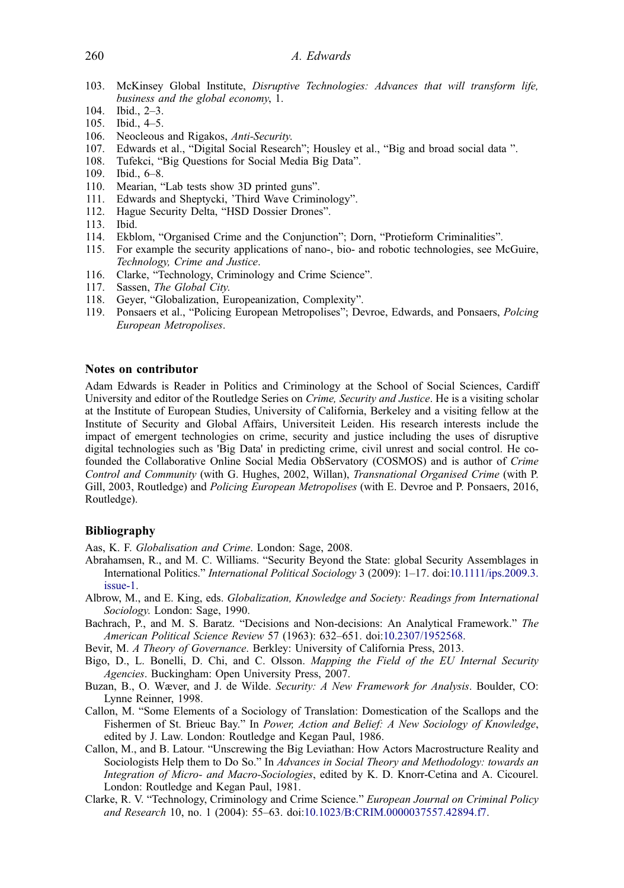- <span id="page-21-0"></span>103. McKinsey Global Institute, Disruptive Technologies: Advances that will transform life, business and the global economy, 1.
- 104. Ibid., 2–3.
- 105. Ibid., 4–5.
- 106. Neocleous and Rigakos, Anti-Security.
- 107. Edwards et al., "Digital Social Research"; Housley et al., "Big and broad social data ".
- 108. Tufekci, "Big Questions for Social Media Big Data".
- 109. Ibid., 6–8.
- 110. Mearian, "Lab tests show 3D printed guns".
- 111. Edwards and Sheptycki, 'Third Wave Criminology".
- 112. Hague Security Delta, "HSD Dossier Drones".
- 113. Ibid.
- 114. Ekblom, "Organised Crime and the Conjunction"; Dorn, "Protieform Criminalities".
- 115. For example the security applications of nano-, bio- and robotic technologies, see McGuire, Technology, Crime and Justice.
- 116. Clarke, "Technology, Criminology and Crime Science".
- 117. Sassen, The Global City.
- 118. Geyer, "Globalization, Europeanization, Complexity".
- 119. Ponsaers et al., "Policing European Metropolises"; Devroe, Edwards, and Ponsaers, Polcing European Metropolises.

#### Notes on contributor

Adam Edwards is Reader in Politics and Criminology at the School of Social Sciences, Cardiff University and editor of the Routledge Series on *Crime, Security and Justice*. He is a visiting scholar at the Institute of European Studies, University of California, Berkeley and a visiting fellow at the Institute of Security and Global Affairs, Universiteit Leiden. His research interests include the impact of emergent technologies on crime, security and justice including the uses of disruptive digital technologies such as 'Big Data' in predicting crime, civil unrest and social control. He cofounded the Collaborative Online Social Media ObServatory (COSMOS) and is author of Crime Control and Community (with G. Hughes, 2002, Willan), Transnational Organised Crime (with P. Gill, 2003, Routledge) and *Policing European Metropolises* (with E. Devroe and P. Ponsaers, 2016, Routledge).

#### Bibliography

Aas, K. F. Globalisation and Crime. London: Sage, 2008.

- Abrahamsen, R., and M. C. Williams. "Security Beyond the State: global Security Assemblages in International Politics." International Political Sociology 3 (2009): 1–17. doi:[10.1111/ips.2009.3.](http://dx.doi.org/10.1111/ips.2009.3.issue-1) [issue-1](http://dx.doi.org/10.1111/ips.2009.3.issue-1).
- Albrow, M., and E. King, eds. Globalization, Knowledge and Society: Readings from International Sociology. London: Sage, 1990.
- Bachrach, P., and M. S. Baratz. "Decisions and Non-decisions: An Analytical Framework." The American Political Science Review 57 (1963): 632–651. doi:[10.2307/1952568](http://dx.doi.org/10.2307/1952568).
- Bevir, M. A Theory of Governance. Berkley: University of California Press, 2013.
- Bigo, D., L. Bonelli, D. Chi, and C. Olsson. Mapping the Field of the EU Internal Security Agencies. Buckingham: Open University Press, 2007.
- Buzan, B., O. Wæver, and J. de Wilde. Security: A New Framework for Analysis. Boulder, CO: Lynne Reinner, 1998.
- Callon, M. "Some Elements of a Sociology of Translation: Domestication of the Scallops and the Fishermen of St. Brieuc Bay." In Power, Action and Belief: A New Sociology of Knowledge, edited by J. Law. London: Routledge and Kegan Paul, 1986.
- Callon, M., and B. Latour. "Unscrewing the Big Leviathan: How Actors Macrostructure Reality and Sociologists Help them to Do So." In Advances in Social Theory and Methodology: towards an Integration of Micro- and Macro-Sociologies, edited by K. D. Knorr-Cetina and A. Cicourel. London: Routledge and Kegan Paul, 1981.
- Clarke, R. V. "Technology, Criminology and Crime Science." European Journal on Criminal Policy and Research 10, no. 1 (2004): 55–63. doi:[10.1023/B:CRIM.0000037557.42894.f7.](http://dx.doi.org/10.1023/B:CRIM.0000037557.42894.f7)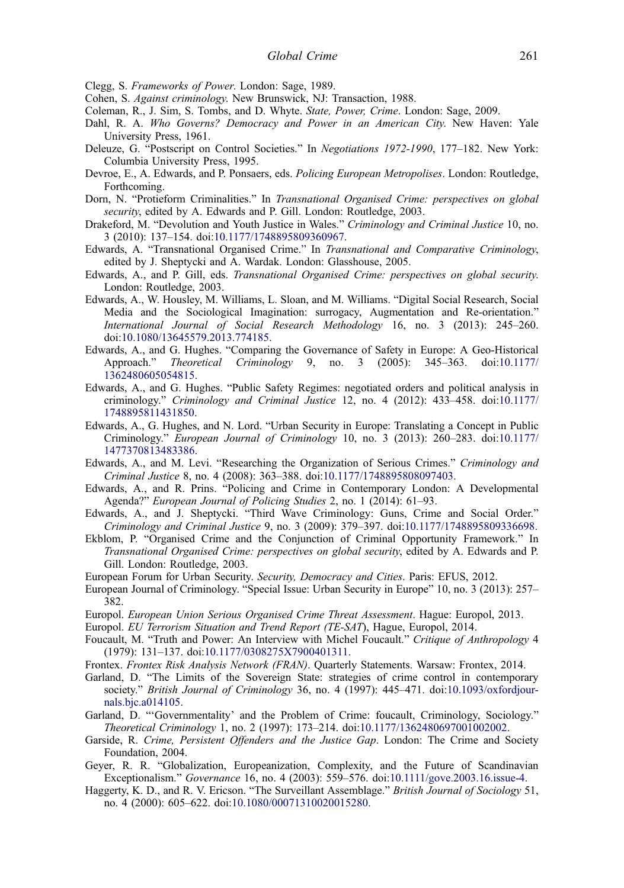Clegg, S. Frameworks of Power. London: Sage, 1989.

- Cohen, S. Against criminology. New Brunswick, NJ: Transaction, 1988.
- Coleman, R., J. Sim, S. Tombs, and D. Whyte. State, Power, Crime. London: Sage, 2009.
- Dahl, R. A. Who Governs? Democracy and Power in an American City. New Haven: Yale University Press, 1961.
- Deleuze, G. "Postscript on Control Societies." In Negotiations 1972-1990, 177–182. New York: Columbia University Press, 1995.
- Devroe, E., A. Edwards, and P. Ponsaers, eds. *Policing European Metropolises*. London: Routledge, Forthcoming.
- Dorn, N. "Protieform Criminalities." In Transnational Organised Crime: perspectives on global security, edited by A. Edwards and P. Gill. London: Routledge, 2003.
- Drakeford, M. "Devolution and Youth Justice in Wales." Criminology and Criminal Justice 10, no. 3 (2010): 137–154. doi:[10.1177/1748895809360967](http://dx.doi.org/10.1177/1748895809360967).
- Edwards, A. "Transnational Organised Crime." In Transnational and Comparative Criminology, edited by J. Sheptycki and A. Wardak. London: Glasshouse, 2005.
- Edwards, A., and P. Gill, eds. Transnational Organised Crime: perspectives on global security. London: Routledge, 2003.
- Edwards, A., W. Housley, M. Williams, L. Sloan, and M. Williams. "Digital Social Research, Social Media and the Sociological Imagination: surrogacy, Augmentation and Re-orientation." International Journal of Social Research Methodology 16, no. 3 (2013): 245–260. doi:[10.1080/13645579.2013.774185.](http://dx.doi.org/10.1080/13645579.2013.774185)
- Edwards, A., and G. Hughes. "Comparing the Governance of Safety in Europe: A Geo-Historical Approach." Theoretical Criminology 9, no. 3 (2005): 345–363. doi:[10.1177/](http://dx.doi.org/10.1177/1362480605054815) [1362480605054815](http://dx.doi.org/10.1177/1362480605054815).
- Edwards, A., and G. Hughes. "Public Safety Regimes: negotiated orders and political analysis in criminology." Criminology and Criminal Justice 12, no. 4 (2012): 433–458. doi:[10.1177/](http://dx.doi.org/10.1177/1748895811431850) [1748895811431850.](http://dx.doi.org/10.1177/1748895811431850)
- Edwards, A., G. Hughes, and N. Lord. "Urban Security in Europe: Translating a Concept in Public Criminology." European Journal of Criminology 10, no. 3 (2013): 260–283. doi:[10.1177/](http://dx.doi.org/10.1177/1477370813483386) [1477370813483386.](http://dx.doi.org/10.1177/1477370813483386)
- Edwards, A., and M. Levi. "Researching the Organization of Serious Crimes." Criminology and Criminal Justice 8, no. 4 (2008): 363–388. doi:[10.1177/1748895808097403.](http://dx.doi.org/10.1177/1748895808097403)
- Edwards, A., and R. Prins. "Policing and Crime in Contemporary London: A Developmental Agenda?" European Journal of Policing Studies 2, no. 1 (2014): 61-93.
- Edwards, A., and J. Sheptycki. "Third Wave Criminology: Guns, Crime and Social Order." Criminology and Criminal Justice 9, no. 3 (2009): 379–397. doi:[10.1177/1748895809336698.](http://dx.doi.org/10.1177/1748895809336698)
- Ekblom, P. "Organised Crime and the Conjunction of Criminal Opportunity Framework." In Transnational Organised Crime: perspectives on global security, edited by A. Edwards and P. Gill. London: Routledge, 2003.
- European Forum for Urban Security. Security, Democracy and Cities. Paris: EFUS, 2012.
- European Journal of Criminology. "Special Issue: Urban Security in Europe" 10, no. 3 (2013): 257– 382.
- Europol. European Union Serious Organised Crime Threat Assessment. Hague: Europol, 2013.
- Europol. EU Terrorism Situation and Trend Report (TE-SAT), Hague, Europol, 2014.
- Foucault, M. "Truth and Power: An Interview with Michel Foucault." Critique of Anthropology 4 (1979): 131–137. doi:[10.1177/0308275X7900401311](http://dx.doi.org/10.1177/0308275X7900401311).
- Frontex. Frontex Risk Analysis Network (FRAN). Quarterly Statements. Warsaw: Frontex, 2014.
- Garland, D. "The Limits of the Sovereign State: strategies of crime control in contemporary society." British Journal of Criminology 36, no. 4 (1997): 445-471. doi:[10.1093/oxfordjour](http://dx.doi.org/10.1093/oxfordjournals.bjc.a014105)[nals.bjc.a014105.](http://dx.doi.org/10.1093/oxfordjournals.bjc.a014105)
- Garland, D. "'Governmentality' and the Problem of Crime: foucault, Criminology, Sociology." Theoretical Criminology 1, no. 2 (1997): 173–214. doi:[10.1177/1362480697001002002](http://dx.doi.org/10.1177/1362480697001002002).
- Garside, R. Crime, Persistent Offenders and the Justice Gap. London: The Crime and Society Foundation, 2004.
- Geyer, R. R. "Globalization, Europeanization, Complexity, and the Future of Scandinavian Exceptionalism." Governance 16, no. 4 (2003): 559–576. doi:[10.1111/gove.2003.16.issue-4](http://dx.doi.org/10.1111/gove.2003.16.issue-4).
- Haggerty, K. D., and R. V. Ericson. "The Surveillant Assemblage." British Journal of Sociology 51, no. 4 (2000): 605–622. doi:[10.1080/00071310020015280](http://dx.doi.org/10.1080/00071310020015280).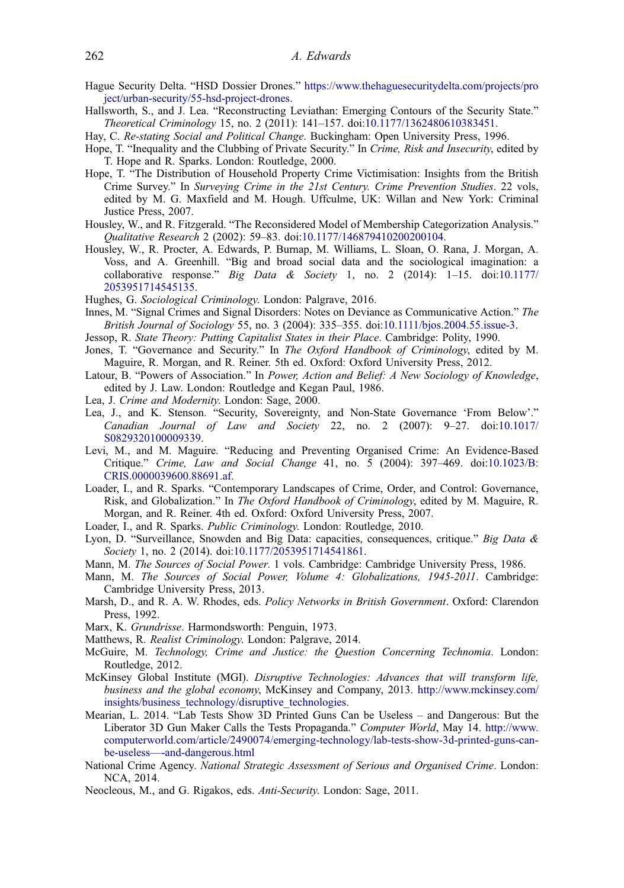- Hague Security Delta. "HSD Dossier Drones." [https://www.thehaguesecuritydelta.com/projects/pro](https://www.thehaguesecuritydelta.com/projects/project/urban-security/55-hsd-project-drones) [ject/urban-security/55-hsd-project-drones](https://www.thehaguesecuritydelta.com/projects/project/urban-security/55-hsd-project-drones).
- Hallsworth, S., and J. Lea. "Reconstructing Leviathan: Emerging Contours of the Security State." Theoretical Criminology 15, no. 2 (2011): 141–157. doi:[10.1177/1362480610383451.](http://dx.doi.org/10.1177/1362480610383451)
- Hay, C. Re-stating Social and Political Change. Buckingham: Open University Press, 1996.
- Hope, T. "Inequality and the Clubbing of Private Security." In Crime, Risk and Insecurity, edited by T. Hope and R. Sparks. London: Routledge, 2000.
- Hope, T. "The Distribution of Household Property Crime Victimisation: Insights from the British Crime Survey." In Surveying Crime in the 21st Century. Crime Prevention Studies. 22 vols, edited by M. G. Maxfield and M. Hough. Uffculme, UK: Willan and New York: Criminal Justice Press, 2007.
- Housley, W., and R. Fitzgerald. "The Reconsidered Model of Membership Categorization Analysis." Qualitative Research 2 (2002): 59–83. doi:[10.1177/146879410200200104.](http://dx.doi.org/10.1177/146879410200200104)
- Housley, W., R. Procter, A. Edwards, P. Burnap, M. Williams, L. Sloan, O. Rana, J. Morgan, A. Voss, and A. Greenhill. "Big and broad social data and the sociological imagination: a collaborative response." Big Data & Society 1, no. 2 (2014):  $1-15$ . doi:[10.1177/](http://dx.doi.org/10.1177/2053951714545135) [2053951714545135.](http://dx.doi.org/10.1177/2053951714545135)
- Hughes, G. Sociological Criminology. London: Palgrave, 2016.
- Innes, M. "Signal Crimes and Signal Disorders: Notes on Deviance as Communicative Action." The British Journal of Sociology 55, no. 3 (2004): 335–355. doi:[10.1111/bjos.2004.55.issue-3.](http://dx.doi.org/10.1111/bjos.2004.55.issue-3)
- Jessop, R. State Theory: Putting Capitalist States in their Place. Cambridge: Polity, 1990.
- Jones, T. "Governance and Security." In The Oxford Handbook of Criminology, edited by M. Maguire, R. Morgan, and R. Reiner. 5th ed. Oxford: Oxford University Press, 2012.
- Latour, B. "Powers of Association." In Power, Action and Belief: A New Sociology of Knowledge, edited by J. Law. London: Routledge and Kegan Paul, 1986.
- Lea, J. Crime and Modernity. London: Sage, 2000.
- Lea, J., and K. Stenson. "Security, Sovereignty, and Non-State Governance 'From Below'." Canadian Journal of Law and Society 22, no. 2 (2007): 9–27. doi:[10.1017/](http://dx.doi.org/10.1017/S0829320100009339) [S0829320100009339.](http://dx.doi.org/10.1017/S0829320100009339)
- Levi, M., and M. Maguire. "Reducing and Preventing Organised Crime: An Evidence-Based Critique." Crime, Law and Social Change 41, no. 5 (2004): 397–469. doi:[10.1023/B:](http://dx.doi.org/10.1023/B:CRIS.0000039600.88691.af) [CRIS.0000039600.88691.af.](http://dx.doi.org/10.1023/B:CRIS.0000039600.88691.af)
- Loader, I., and R. Sparks. "Contemporary Landscapes of Crime, Order, and Control: Governance, Risk, and Globalization." In The Oxford Handbook of Criminology, edited by M. Maguire, R. Morgan, and R. Reiner. 4th ed. Oxford: Oxford University Press, 2007.
- Loader, I., and R. Sparks. Public Criminology. London: Routledge, 2010.
- Lyon, D. "Surveillance, Snowden and Big Data: capacities, consequences, critique." Big Data & Society 1, no. 2 (2014). doi:[10.1177/2053951714541861.](http://dx.doi.org/10.1177/2053951714541861)
- Mann, M. The Sources of Social Power. 1 vols. Cambridge: Cambridge University Press, 1986.
- Mann, M. The Sources of Social Power, Volume 4: Globalizations, 1945-2011. Cambridge: Cambridge University Press, 2013.
- Marsh, D., and R. A. W. Rhodes, eds. Policy Networks in British Government. Oxford: Clarendon Press, 1992.
- Marx, K. Grundrisse. Harmondsworth: Penguin, 1973.
- Matthews, R. Realist Criminology. London: Palgrave, 2014.
- McGuire, M. Technology, Crime and Justice: the Question Concerning Technomia. London: Routledge, 2012.
- McKinsey Global Institute (MGI). Disruptive Technologies: Advances that will transform life, business and the global economy, McKinsey and Company, 2013. [http://www.mckinsey.com/](http://www.mckinsey.com/insights/business_technology/disruptive_technologies) [insights/business\\_technology/disruptive\\_technologies.](http://www.mckinsey.com/insights/business_technology/disruptive_technologies)
- Mearian, L. 2014. "Lab Tests Show 3D Printed Guns Can be Useless and Dangerous: But the Liberator 3D Gun Maker Calls the Tests Propaganda." Computer World, May 14. [http://www.](http://www.computerworld.com/article/2490074/emerging-technology/lab-tests-show-3d-printed-guns-can-be-useless%2014-and-dangerous.html) [computerworld.com/article/2490074/emerging-technology/lab-tests-show-3d-printed-guns-can](http://www.computerworld.com/article/2490074/emerging-technology/lab-tests-show-3d-printed-guns-can-be-useless%2014-and-dangerous.html)be-useless—[-and-dangerous.html](http://www.computerworld.com/article/2490074/emerging-technology/lab-tests-show-3d-printed-guns-can-be-useless%2014-and-dangerous.html)
- National Crime Agency. National Strategic Assessment of Serious and Organised Crime. London: NCA, 2014.
- Neocleous, M., and G. Rigakos, eds. Anti-Security. London: Sage, 2011.